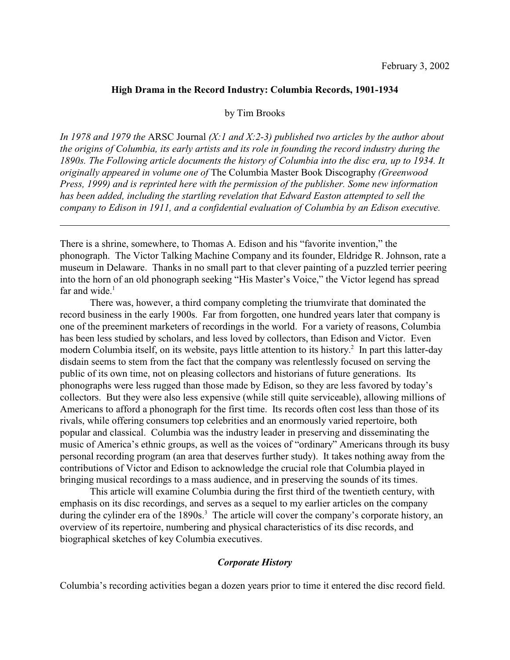### **High Drama in the Record Industry: Columbia Records, 1901-1934**

by Tim Brooks

*In 1978 and 1979 the* ARSC Journal *(X:1 and X:2-3) published two articles by the author about the origins of Columbia, its early artists and its role in founding the record industry during the 1890s. The Following article documents the history of Columbia into the disc era, up to 1934. It originally appeared in volume one of* The Columbia Master Book Discography *(Greenwood Press, 1999) and is reprinted here with the permission of the publisher. Some new information has been added, including the startling revelation that Edward Easton attempted to sell the company to Edison in 1911, and a confidential evaluation of Columbia by an Edison executive.*

There is a shrine, somewhere, to Thomas A. Edison and his "favorite invention," the phonograph. The Victor Talking Machine Company and its founder, Eldridge R. Johnson, rate a museum in Delaware. Thanks in no small part to that clever painting of a puzzled terrier peering into the horn of an old phonograph seeking "His Master's Voice," the Victor legend has spread far and wide. $1$ 

There was, however, a third company completing the triumvirate that dominated the record business in the early 1900s. Far from forgotten, one hundred years later that company is one of the preeminent marketers of recordings in the world. For a variety of reasons, Columbia has been less studied by scholars, and less loved by collectors, than Edison and Victor. Even modern Columbia itself, on its website, pays little attention to its history.<sup>2</sup> In part this latter-day disdain seems to stem from the fact that the company was relentlessly focused on serving the public of its own time, not on pleasing collectors and historians of future generations. Its phonographs were less rugged than those made by Edison, so they are less favored by today's collectors. But they were also less expensive (while still quite serviceable), allowing millions of Americans to afford a phonograph for the first time. Its records often cost less than those of its rivals, while offering consumers top celebrities and an enormously varied repertoire, both popular and classical. Columbia was the industry leader in preserving and disseminating the music of America's ethnic groups, as well as the voices of "ordinary" Americans through its busy personal recording program (an area that deserves further study). It takes nothing away from the contributions of Victor and Edison to acknowledge the crucial role that Columbia played in bringing musical recordings to a mass audience, and in preserving the sounds of its times.

This article will examine Columbia during the first third of the twentieth century, with emphasis on its disc recordings, and serves as a sequel to my earlier articles on the company during the cylinder era of the 1890s.<sup>3</sup> The article will cover the company's corporate history, an overview of its repertoire, numbering and physical characteristics of its disc records, and biographical sketches of key Columbia executives.

### *Corporate History*

Columbia's recording activities began a dozen years prior to time it entered the disc record field.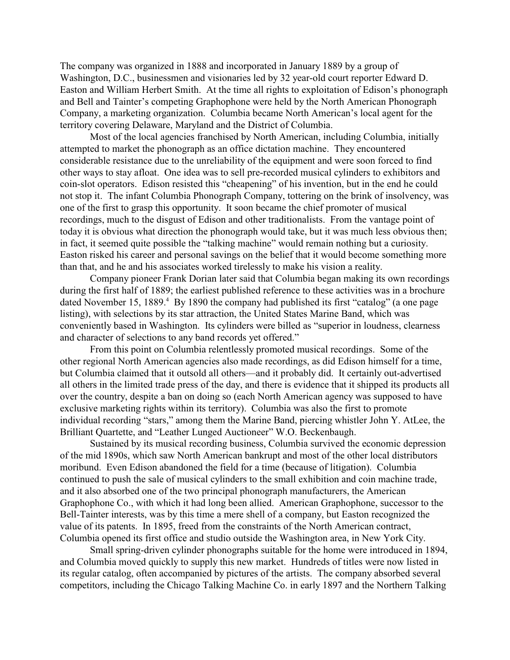The company was organized in 1888 and incorporated in January 1889 by a group of Washington, D.C., businessmen and visionaries led by 32 year-old court reporter Edward D. Easton and William Herbert Smith. At the time all rights to exploitation of Edison's phonograph and Bell and Tainter's competing Graphophone were held by the North American Phonograph Company, a marketing organization. Columbia became North American's local agent for the territory covering Delaware, Maryland and the District of Columbia.

Most of the local agencies franchised by North American, including Columbia, initially attempted to market the phonograph as an office dictation machine. They encountered considerable resistance due to the unreliability of the equipment and were soon forced to find other ways to stay afloat. One idea was to sell pre-recorded musical cylinders to exhibitors and coin-slot operators. Edison resisted this "cheapening" of his invention, but in the end he could not stop it. The infant Columbia Phonograph Company, tottering on the brink of insolvency, was one of the first to grasp this opportunity. It soon became the chief promoter of musical recordings, much to the disgust of Edison and other traditionalists. From the vantage point of today it is obvious what direction the phonograph would take, but it was much less obvious then; in fact, it seemed quite possible the "talking machine" would remain nothing but a curiosity. Easton risked his career and personal savings on the belief that it would become something more than that, and he and his associates worked tirelessly to make his vision a reality.

Company pioneer Frank Dorian later said that Columbia began making its own recordings during the first half of 1889; the earliest published reference to these activities was in a brochure dated November 15, 1889. $^4$  By 1890 the company had published its first "catalog" (a one page listing), with selections by its star attraction, the United States Marine Band, which was conveniently based in Washington. Its cylinders were billed as "superior in loudness, clearness and character of selections to any band records yet offered."

From this point on Columbia relentlessly promoted musical recordings. Some of the other regional North American agencies also made recordings, as did Edison himself for a time, but Columbia claimed that it outsold all others—and it probably did. It certainly out-advertised all others in the limited trade press of the day, and there is evidence that it shipped its products all over the country, despite a ban on doing so (each North American agency was supposed to have exclusive marketing rights within its territory). Columbia was also the first to promote individual recording "stars," among them the Marine Band, piercing whistler John Y. AtLee, the Brilliant Quartette, and "Leather Lunged Auctioneer" W.O. Beckenbaugh.

Sustained by its musical recording business, Columbia survived the economic depression of the mid 1890s, which saw North American bankrupt and most of the other local distributors moribund. Even Edison abandoned the field for a time (because of litigation). Columbia continued to push the sale of musical cylinders to the small exhibition and coin machine trade, and it also absorbed one of the two principal phonograph manufacturers, the American Graphophone Co., with which it had long been allied. American Graphophone, successor to the Bell-Tainter interests, was by this time a mere shell of a company, but Easton recognized the value of its patents. In 1895, freed from the constraints of the North American contract, Columbia opened its first office and studio outside the Washington area, in New York City.

Small spring-driven cylinder phonographs suitable for the home were introduced in 1894, and Columbia moved quickly to supply this new market. Hundreds of titles were now listed in its regular catalog, often accompanied by pictures of the artists. The company absorbed several competitors, including the Chicago Talking Machine Co. in early 1897 and the Northern Talking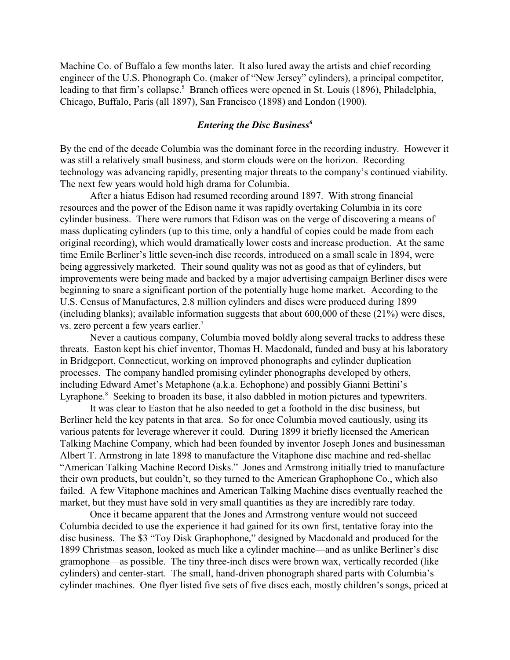Machine Co. of Buffalo a few months later. It also lured away the artists and chief recording engineer of the U.S. Phonograph Co. (maker of "New Jersey" cylinders), a principal competitor, leading to that firm's collapse.<sup>5</sup> Branch offices were opened in St. Louis (1896), Philadelphia, Chicago, Buffalo, Paris (all 1897), San Francisco (1898) and London (1900).

## *Entering the Disc Business<sup>6</sup>*

By the end of the decade Columbia was the dominant force in the recording industry. However it was still a relatively small business, and storm clouds were on the horizon. Recording technology was advancing rapidly, presenting major threats to the company's continued viability. The next few years would hold high drama for Columbia.

After a hiatus Edison had resumed recording around 1897. With strong financial resources and the power of the Edison name it was rapidly overtaking Columbia in its core cylinder business. There were rumors that Edison was on the verge of discovering a means of mass duplicating cylinders (up to this time, only a handful of copies could be made from each original recording), which would dramatically lower costs and increase production. At the same time Emile Berliner's little seven-inch disc records, introduced on a small scale in 1894, were being aggressively marketed. Their sound quality was not as good as that of cylinders, but improvements were being made and backed by a major advertising campaign Berliner discs were beginning to snare a significant portion of the potentially huge home market. According to the U.S. Census of Manufactures, 2.8 million cylinders and discs were produced during 1899 (including blanks); available information suggests that about 600,000 of these (21%) were discs, vs. zero percent a few years earlier.<sup>7</sup>

Never a cautious company, Columbia moved boldly along several tracks to address these threats. Easton kept his chief inventor, Thomas H. Macdonald, funded and busy at his laboratory in Bridgeport, Connecticut, working on improved phonographs and cylinder duplication processes. The company handled promising cylinder phonographs developed by others, including Edward Amet's Metaphone (a.k.a. Echophone) and possibly Gianni Bettini's Lyraphone.<sup>8</sup> Seeking to broaden its base, it also dabbled in motion pictures and typewriters.

It was clear to Easton that he also needed to get a foothold in the disc business, but Berliner held the key patents in that area. So for once Columbia moved cautiously, using its various patents for leverage wherever it could. During 1899 it briefly licensed the American Talking Machine Company, which had been founded by inventor Joseph Jones and businessman Albert T. Armstrong in late 1898 to manufacture the Vitaphone disc machine and red-shellac "American Talking Machine Record Disks." Jones and Armstrong initially tried to manufacture their own products, but couldn't, so they turned to the American Graphophone Co., which also failed. A few Vitaphone machines and American Talking Machine discs eventually reached the market, but they must have sold in very small quantities as they are incredibly rare today.

Once it became apparent that the Jones and Armstrong venture would not succeed Columbia decided to use the experience it had gained for its own first, tentative foray into the disc business. The \$3 "Toy Disk Graphophone," designed by Macdonald and produced for the 1899 Christmas season, looked as much like a cylinder machine—and as unlike Berliner's disc gramophone—as possible. The tiny three-inch discs were brown wax, vertically recorded (like cylinders) and center-start. The small, hand-driven phonograph shared parts with Columbia's cylinder machines. One flyer listed five sets of five discs each, mostly children's songs, priced at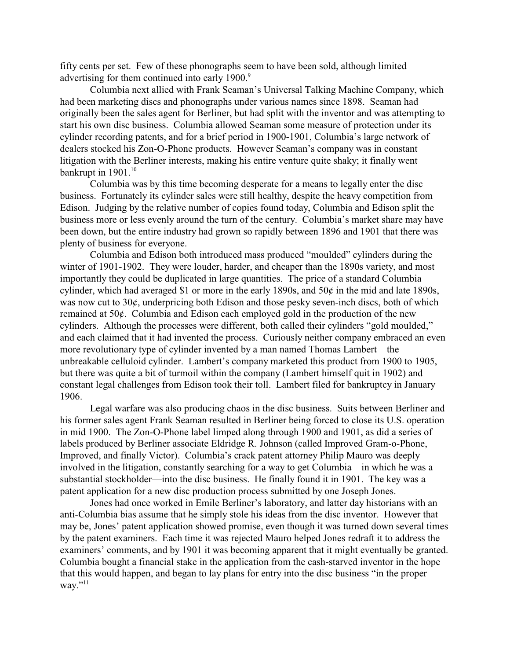fifty cents per set. Few of these phonographs seem to have been sold, although limited advertising for them continued into early 1900.<sup>9</sup>

Columbia next allied with Frank Seaman's Universal Talking Machine Company, which had been marketing discs and phonographs under various names since 1898. Seaman had originally been the sales agent for Berliner, but had split with the inventor and was attempting to start his own disc business. Columbia allowed Seaman some measure of protection under its cylinder recording patents, and for a brief period in 1900-1901, Columbia's large network of dealers stocked his Zon-O-Phone products. However Seaman's company was in constant litigation with the Berliner interests, making his entire venture quite shaky; it finally went bankrupt in  $1901$ .<sup>10</sup>

Columbia was by this time becoming desperate for a means to legally enter the disc business. Fortunately its cylinder sales were still healthy, despite the heavy competition from Edison. Judging by the relative number of copies found today, Columbia and Edison split the business more or less evenly around the turn of the century. Columbia's market share may have been down, but the entire industry had grown so rapidly between 1896 and 1901 that there was plenty of business for everyone.

Columbia and Edison both introduced mass produced "moulded" cylinders during the winter of 1901-1902. They were louder, harder, and cheaper than the 1890s variety, and most importantly they could be duplicated in large quantities. The price of a standard Columbia cylinder, which had averaged \$1 or more in the early 1890s, and 50¢ in the mid and late 1890s, was now cut to 30¢, underpricing both Edison and those pesky seven-inch discs, both of which remained at 50¢. Columbia and Edison each employed gold in the production of the new cylinders. Although the processes were different, both called their cylinders "gold moulded," and each claimed that it had invented the process. Curiously neither company embraced an even more revolutionary type of cylinder invented by a man named Thomas Lambert—the unbreakable celluloid cylinder. Lambert's company marketed this product from 1900 to 1905, but there was quite a bit of turmoil within the company (Lambert himself quit in 1902) and constant legal challenges from Edison took their toll. Lambert filed for bankruptcy in January 1906.

Legal warfare was also producing chaos in the disc business. Suits between Berliner and his former sales agent Frank Seaman resulted in Berliner being forced to close its U.S. operation in mid 1900. The Zon-O-Phone label limped along through 1900 and 1901, as did a series of labels produced by Berliner associate Eldridge R. Johnson (called Improved Gram-o-Phone, Improved, and finally Victor). Columbia's crack patent attorney Philip Mauro was deeply involved in the litigation, constantly searching for a way to get Columbia—in which he was a substantial stockholder—into the disc business. He finally found it in 1901. The key was a patent application for a new disc production process submitted by one Joseph Jones.

Jones had once worked in Emile Berliner's laboratory, and latter day historians with an anti-Columbia bias assume that he simply stole his ideas from the disc inventor. However that may be, Jones' patent application showed promise, even though it was turned down several times by the patent examiners. Each time it was rejected Mauro helped Jones redraft it to address the examiners' comments, and by 1901 it was becoming apparent that it might eventually be granted. Columbia bought a financial stake in the application from the cash-starved inventor in the hope that this would happen, and began to lay plans for entry into the disc business "in the proper way." $^{11}$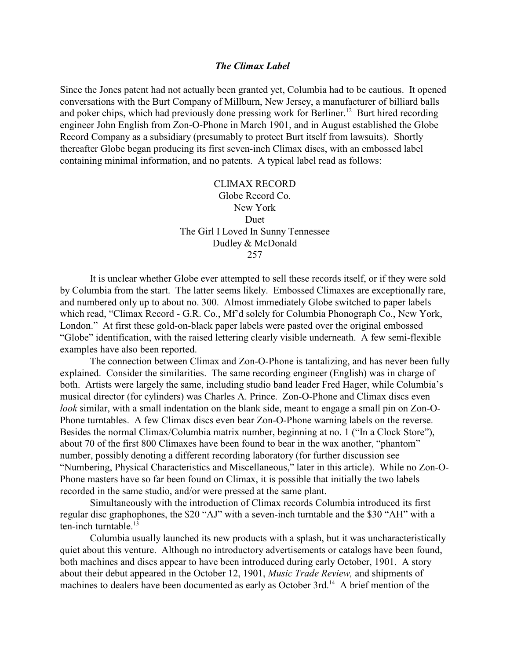### *The Climax Label*

Since the Jones patent had not actually been granted yet, Columbia had to be cautious. It opened conversations with the Burt Company of Millburn, New Jersey, a manufacturer of billiard balls and poker chips, which had previously done pressing work for Berliner.<sup>12</sup> Burt hired recording engineer John English from Zon-O-Phone in March 1901, and in August established the Globe Record Company as a subsidiary (presumably to protect Burt itself from lawsuits). Shortly thereafter Globe began producing its first seven-inch Climax discs, with an embossed label containing minimal information, and no patents. A typical label read as follows:

> CLIMAX RECORD Globe Record Co. New York Duet The Girl I Loved In Sunny Tennessee Dudley & McDonald 257

It is unclear whether Globe ever attempted to sell these records itself, or if they were sold by Columbia from the start. The latter seems likely. Embossed Climaxes are exceptionally rare, and numbered only up to about no. 300. Almost immediately Globe switched to paper labels which read, "Climax Record - G.R. Co., Mf'd solely for Columbia Phonograph Co., New York, London." At first these gold-on-black paper labels were pasted over the original embossed "Globe" identification, with the raised lettering clearly visible underneath. A few semi-flexible examples have also been reported.

The connection between Climax and Zon-O-Phone is tantalizing, and has never been fully explained. Consider the similarities. The same recording engineer (English) was in charge of both. Artists were largely the same, including studio band leader Fred Hager, while Columbia's musical director (for cylinders) was Charles A. Prince. Zon-O-Phone and Climax discs even *look* similar, with a small indentation on the blank side, meant to engage a small pin on Zon-O-Phone turntables. A few Climax discs even bear Zon-O-Phone warning labels on the reverse. Besides the normal Climax/Columbia matrix number, beginning at no. 1 ("In a Clock Store"), about 70 of the first 800 Climaxes have been found to bear in the wax another, "phantom" number, possibly denoting a different recording laboratory (for further discussion see "Numbering, Physical Characteristics and Miscellaneous," later in this article). While no Zon-O-Phone masters have so far been found on Climax, it is possible that initially the two labels recorded in the same studio, and/or were pressed at the same plant.

Simultaneously with the introduction of Climax records Columbia introduced its first regular disc graphophones, the \$20 "AJ" with a seven-inch turntable and the \$30 "AH" with a ten-inch turntable. $13$ 

Columbia usually launched its new products with a splash, but it was uncharacteristically quiet about this venture. Although no introductory advertisements or catalogs have been found, both machines and discs appear to have been introduced during early October, 1901. A story about their debut appeared in the October 12, 1901, *Music Trade Review,* and shipments of machines to dealers have been documented as early as October 3rd.<sup>14</sup> A brief mention of the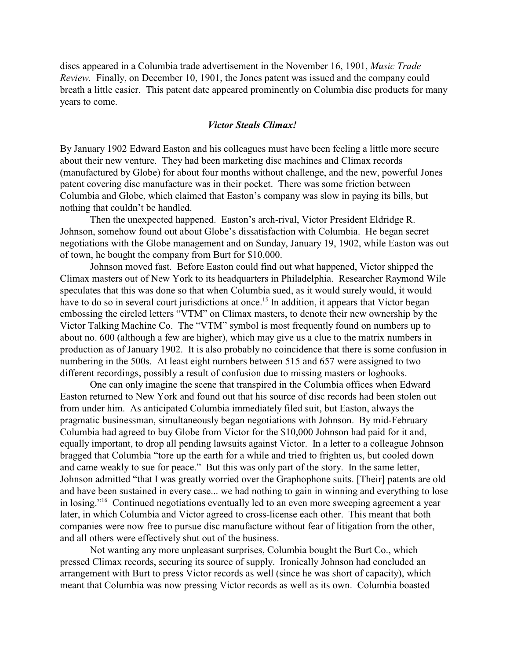discs appeared in a Columbia trade advertisement in the November 16, 1901, *Music Trade Review.* Finally, on December 10, 1901, the Jones patent was issued and the company could breath a little easier. This patent date appeared prominently on Columbia disc products for many years to come.

#### *Victor Steals Climax!*

By January 1902 Edward Easton and his colleagues must have been feeling a little more secure about their new venture. They had been marketing disc machines and Climax records (manufactured by Globe) for about four months without challenge, and the new, powerful Jones patent covering disc manufacture was in their pocket. There was some friction between Columbia and Globe, which claimed that Easton's company was slow in paying its bills, but nothing that couldn't be handled.

Then the unexpected happened. Easton's arch-rival, Victor President Eldridge R. Johnson, somehow found out about Globe's dissatisfaction with Columbia. He began secret negotiations with the Globe management and on Sunday, January 19, 1902, while Easton was out of town, he bought the company from Burt for \$10,000.

Johnson moved fast. Before Easton could find out what happened, Victor shipped the Climax masters out of New York to its headquarters in Philadelphia. Researcher Raymond Wile speculates that this was done so that when Columbia sued, as it would surely would, it would have to do so in several court jurisdictions at once.<sup>15</sup> In addition, it appears that Victor began embossing the circled letters "VTM" on Climax masters, to denote their new ownership by the Victor Talking Machine Co. The "VTM" symbol is most frequently found on numbers up to about no. 600 (although a few are higher), which may give us a clue to the matrix numbers in production as of January 1902. It is also probably no coincidence that there is some confusion in numbering in the 500s. At least eight numbers between 515 and 657 were assigned to two different recordings, possibly a result of confusion due to missing masters or logbooks.

One can only imagine the scene that transpired in the Columbia offices when Edward Easton returned to New York and found out that his source of disc records had been stolen out from under him. As anticipated Columbia immediately filed suit, but Easton, always the pragmatic businessman, simultaneously began negotiations with Johnson. By mid-February Columbia had agreed to buy Globe from Victor for the \$10,000 Johnson had paid for it and, equally important, to drop all pending lawsuits against Victor. In a letter to a colleague Johnson bragged that Columbia "tore up the earth for a while and tried to frighten us, but cooled down and came weakly to sue for peace." But this was only part of the story. In the same letter, Johnson admitted "that I was greatly worried over the Graphophone suits. [Their] patents are old and have been sustained in every case... we had nothing to gain in winning and everything to lose in losing."<sup>16</sup> Continued negotiations eventually led to an even more sweeping agreement a year later, in which Columbia and Victor agreed to cross-license each other. This meant that both companies were now free to pursue disc manufacture without fear of litigation from the other, and all others were effectively shut out of the business.

Not wanting any more unpleasant surprises, Columbia bought the Burt Co., which pressed Climax records, securing its source of supply. Ironically Johnson had concluded an arrangement with Burt to press Victor records as well (since he was short of capacity), which meant that Columbia was now pressing Victor records as well as its own. Columbia boasted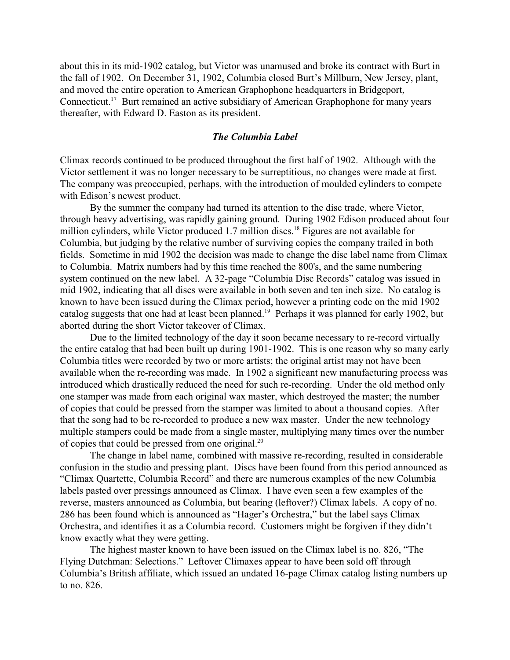about this in its mid-1902 catalog, but Victor was unamused and broke its contract with Burt in the fall of 1902. On December 31, 1902, Columbia closed Burt's Millburn, New Jersey, plant, and moved the entire operation to American Graphophone headquarters in Bridgeport, Connecticut.<sup>17</sup> Burt remained an active subsidiary of American Graphophone for many years thereafter, with Edward D. Easton as its president.

### *The Columbia Label*

Climax records continued to be produced throughout the first half of 1902. Although with the Victor settlement it was no longer necessary to be surreptitious, no changes were made at first. The company was preoccupied, perhaps, with the introduction of moulded cylinders to compete with Edison's newest product.

By the summer the company had turned its attention to the disc trade, where Victor, through heavy advertising, was rapidly gaining ground. During 1902 Edison produced about four million cylinders, while Victor produced 1.7 million discs.<sup>18</sup> Figures are not available for Columbia, but judging by the relative number of surviving copies the company trailed in both fields. Sometime in mid 1902 the decision was made to change the disc label name from Climax to Columbia. Matrix numbers had by this time reached the 800's, and the same numbering system continued on the new label. A 32-page "Columbia Disc Records" catalog was issued in mid 1902, indicating that all discs were available in both seven and ten inch size. No catalog is known to have been issued during the Climax period, however a printing code on the mid 1902 catalog suggests that one had at least been planned.<sup>19</sup> Perhaps it was planned for early 1902, but aborted during the short Victor takeover of Climax.

Due to the limited technology of the day it soon became necessary to re-record virtually the entire catalog that had been built up during 1901-1902. This is one reason why so many early Columbia titles were recorded by two or more artists; the original artist may not have been available when the re-recording was made. In 1902 a significant new manufacturing process was introduced which drastically reduced the need for such re-recording. Under the old method only one stamper was made from each original wax master, which destroyed the master; the number of copies that could be pressed from the stamper was limited to about a thousand copies. After that the song had to be re-recorded to produce a new wax master. Under the new technology multiple stampers could be made from a single master, multiplying many times over the number of copies that could be pressed from one original.<sup>20</sup>

The change in label name, combined with massive re-recording, resulted in considerable confusion in the studio and pressing plant. Discs have been found from this period announced as "Climax Quartette, Columbia Record" and there are numerous examples of the new Columbia labels pasted over pressings announced as Climax. I have even seen a few examples of the reverse, masters announced as Columbia, but bearing (leftover?) Climax labels. A copy of no. 286 has been found which is announced as "Hager's Orchestra," but the label says Climax Orchestra, and identifies it as a Columbia record. Customers might be forgiven if they didn't know exactly what they were getting.

The highest master known to have been issued on the Climax label is no. 826, "The Flying Dutchman: Selections." Leftover Climaxes appear to have been sold off through Columbia's British affiliate, which issued an undated 16-page Climax catalog listing numbers up to no. 826.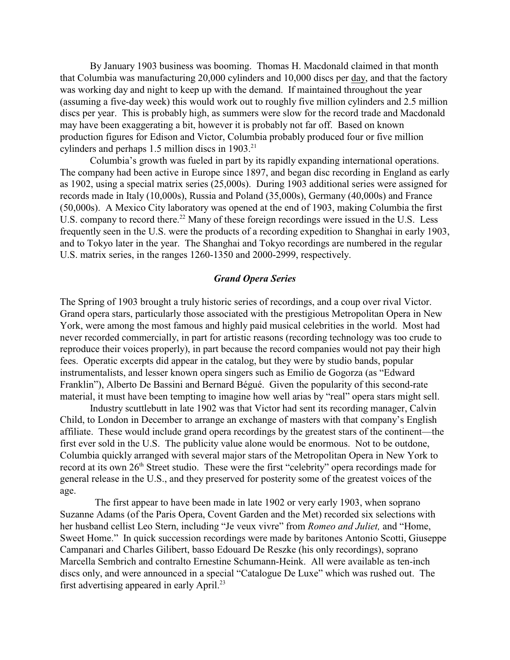By January 1903 business was booming. Thomas H. Macdonald claimed in that month that Columbia was manufacturing 20,000 cylinders and 10,000 discs per day, and that the factory was working day and night to keep up with the demand. If maintained throughout the year (assuming a five-day week) this would work out to roughly five million cylinders and 2.5 million discs per year. This is probably high, as summers were slow for the record trade and Macdonald may have been exaggerating a bit, however it is probably not far off. Based on known production figures for Edison and Victor, Columbia probably produced four or five million cylinders and perhaps  $1.5$  million discs in  $1903$ <sup>21</sup>

Columbia's growth was fueled in part by its rapidly expanding international operations. The company had been active in Europe since 1897, and began disc recording in England as early as 1902, using a special matrix series (25,000s). During 1903 additional series were assigned for records made in Italy (10,000s), Russia and Poland (35,000s), Germany (40,000s) and France (50,000s). A Mexico City laboratory was opened at the end of 1903, making Columbia the first U.S. company to record there.<sup>22</sup> Many of these foreign recordings were issued in the U.S. Less frequently seen in the U.S. were the products of a recording expedition to Shanghai in early 1903, and to Tokyo later in the year. The Shanghai and Tokyo recordings are numbered in the regular U.S. matrix series, in the ranges 1260-1350 and 2000-2999, respectively.

### *Grand Opera Series*

The Spring of 1903 brought a truly historic series of recordings, and a coup over rival Victor. Grand opera stars, particularly those associated with the prestigious Metropolitan Opera in New York, were among the most famous and highly paid musical celebrities in the world. Most had never recorded commercially, in part for artistic reasons (recording technology was too crude to reproduce their voices properly), in part because the record companies would not pay their high fees. Operatic excerpts did appear in the catalog, but they were by studio bands, popular instrumentalists, and lesser known opera singers such as Emilio de Gogorza (as "Edward Franklin"), Alberto De Bassini and Bernard Bégué. Given the popularity of this second-rate material, it must have been tempting to imagine how well arias by "real" opera stars might sell.

Industry scuttlebutt in late 1902 was that Victor had sent its recording manager, Calvin Child, to London in December to arrange an exchange of masters with that company's English affiliate. These would include grand opera recordings by the greatest stars of the continent—the first ever sold in the U.S. The publicity value alone would be enormous. Not to be outdone, Columbia quickly arranged with several major stars of the Metropolitan Opera in New York to record at its own  $26<sup>th</sup>$  Street studio. These were the first "celebrity" opera recordings made for general release in the U.S., and they preserved for posterity some of the greatest voices of the age.

 The first appear to have been made in late 1902 or very early 1903, when soprano Suzanne Adams (of the Paris Opera, Covent Garden and the Met) recorded six selections with her husband cellist Leo Stern, including "Je veux vivre" from *Romeo and Juliet,* and "Home, Sweet Home." In quick succession recordings were made by baritones Antonio Scotti, Giuseppe Campanari and Charles Gilibert, basso Edouard De Reszke (his only recordings), soprano Marcella Sembrich and contralto Ernestine Schumann-Heink. All were available as ten-inch discs only, and were announced in a special "Catalogue De Luxe" which was rushed out. The first advertising appeared in early April.<sup>23</sup>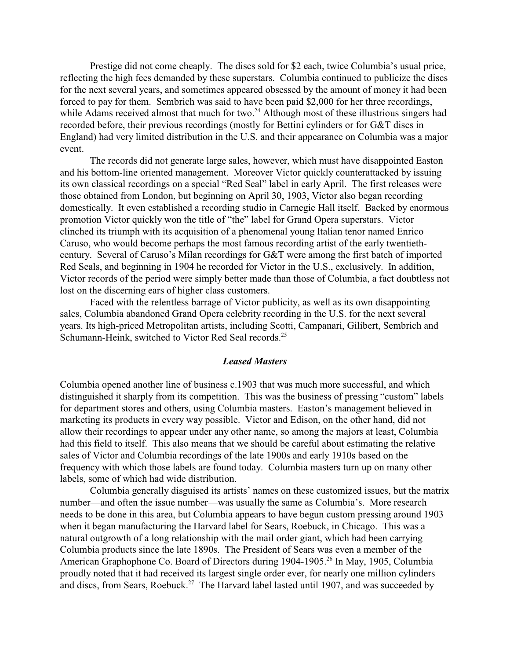Prestige did not come cheaply. The discs sold for \$2 each, twice Columbia's usual price, reflecting the high fees demanded by these superstars. Columbia continued to publicize the discs for the next several years, and sometimes appeared obsessed by the amount of money it had been forced to pay for them. Sembrich was said to have been paid \$2,000 for her three recordings, while Adams received almost that much for two.<sup>24</sup> Although most of these illustrious singers had recorded before, their previous recordings (mostly for Bettini cylinders or for G&T discs in England) had very limited distribution in the U.S. and their appearance on Columbia was a major event.

The records did not generate large sales, however, which must have disappointed Easton and his bottom-line oriented management. Moreover Victor quickly counterattacked by issuing its own classical recordings on a special "Red Seal" label in early April. The first releases were those obtained from London, but beginning on April 30, 1903, Victor also began recording domestically. It even established a recording studio in Carnegie Hall itself. Backed by enormous promotion Victor quickly won the title of "the" label for Grand Opera superstars. Victor clinched its triumph with its acquisition of a phenomenal young Italian tenor named Enrico Caruso, who would become perhaps the most famous recording artist of the early twentiethcentury. Several of Caruso's Milan recordings for G&T were among the first batch of imported Red Seals, and beginning in 1904 he recorded for Victor in the U.S., exclusively. In addition, Victor records of the period were simply better made than those of Columbia, a fact doubtless not lost on the discerning ears of higher class customers.

Faced with the relentless barrage of Victor publicity, as well as its own disappointing sales, Columbia abandoned Grand Opera celebrity recording in the U.S. for the next several years. Its high-priced Metropolitan artists, including Scotti, Campanari, Gilibert, Sembrich and Schumann-Heink, switched to Victor Red Seal records.<sup>25</sup>

#### *Leased Masters*

Columbia opened another line of business c.1903 that was much more successful, and which distinguished it sharply from its competition. This was the business of pressing "custom" labels for department stores and others, using Columbia masters. Easton's management believed in marketing its products in every way possible. Victor and Edison, on the other hand, did not allow their recordings to appear under any other name, so among the majors at least, Columbia had this field to itself. This also means that we should be careful about estimating the relative sales of Victor and Columbia recordings of the late 1900s and early 1910s based on the frequency with which those labels are found today. Columbia masters turn up on many other labels, some of which had wide distribution.

Columbia generally disguised its artists' names on these customized issues, but the matrix number—and often the issue number—was usually the same as Columbia's. More research needs to be done in this area, but Columbia appears to have begun custom pressing around 1903 when it began manufacturing the Harvard label for Sears, Roebuck, in Chicago. This was a natural outgrowth of a long relationship with the mail order giant, which had been carrying Columbia products since the late 1890s. The President of Sears was even a member of the American Graphophone Co. Board of Directors during 1904-1905.<sup>26</sup> In May, 1905, Columbia proudly noted that it had received its largest single order ever, for nearly one million cylinders and discs, from Sears, Roebuck.<sup>27</sup> The Harvard label lasted until 1907, and was succeeded by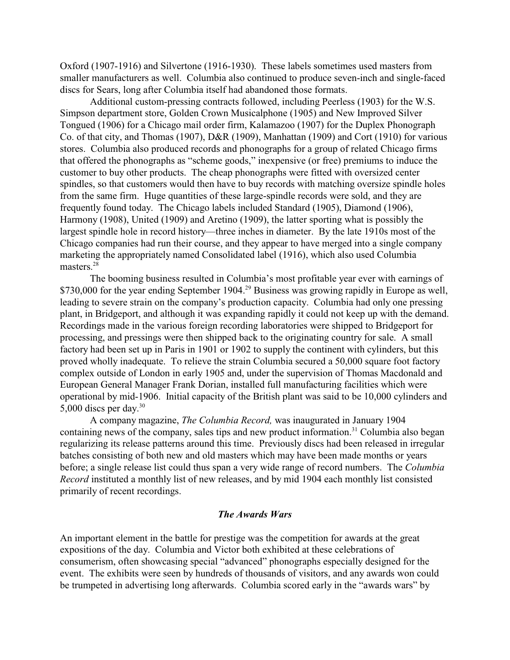Oxford (1907-1916) and Silvertone (1916-1930). These labels sometimes used masters from smaller manufacturers as well. Columbia also continued to produce seven-inch and single-faced discs for Sears, long after Columbia itself had abandoned those formats.

Additional custom-pressing contracts followed, including Peerless (1903) for the W.S. Simpson department store, Golden Crown Musicalphone (1905) and New Improved Silver Tongued (1906) for a Chicago mail order firm, Kalamazoo (1907) for the Duplex Phonograph Co. of that city, and Thomas (1907), D&R (1909), Manhattan (1909) and Cort (1910) for various stores. Columbia also produced records and phonographs for a group of related Chicago firms that offered the phonographs as "scheme goods," inexpensive (or free) premiums to induce the customer to buy other products. The cheap phonographs were fitted with oversized center spindles, so that customers would then have to buy records with matching oversize spindle holes from the same firm. Huge quantities of these large-spindle records were sold, and they are frequently found today. The Chicago labels included Standard (1905), Diamond (1906), Harmony (1908), United (1909) and Aretino (1909), the latter sporting what is possibly the largest spindle hole in record history—three inches in diameter. By the late 1910s most of the Chicago companies had run their course, and they appear to have merged into a single company marketing the appropriately named Consolidated label (1916), which also used Columbia masters.<sup>28</sup>

The booming business resulted in Columbia's most profitable year ever with earnings of \$730,000 for the year ending September 1904.<sup>29</sup> Business was growing rapidly in Europe as well, leading to severe strain on the company's production capacity. Columbia had only one pressing plant, in Bridgeport, and although it was expanding rapidly it could not keep up with the demand. Recordings made in the various foreign recording laboratories were shipped to Bridgeport for processing, and pressings were then shipped back to the originating country for sale. A small factory had been set up in Paris in 1901 or 1902 to supply the continent with cylinders, but this proved wholly inadequate. To relieve the strain Columbia secured a 50,000 square foot factory complex outside of London in early 1905 and, under the supervision of Thomas Macdonald and European General Manager Frank Dorian, installed full manufacturing facilities which were operational by mid-1906. Initial capacity of the British plant was said to be 10,000 cylinders and 5,000 discs per day.<sup>30</sup>

A company magazine, *The Columbia Record,* was inaugurated in January 1904 containing news of the company, sales tips and new product information.<sup>31</sup> Columbia also began regularizing its release patterns around this time. Previously discs had been released in irregular batches consisting of both new and old masters which may have been made months or years before; a single release list could thus span a very wide range of record numbers. The *Columbia Record* instituted a monthly list of new releases, and by mid 1904 each monthly list consisted primarily of recent recordings.

### *The Awards Wars*

An important element in the battle for prestige was the competition for awards at the great expositions of the day. Columbia and Victor both exhibited at these celebrations of consumerism, often showcasing special "advanced" phonographs especially designed for the event. The exhibits were seen by hundreds of thousands of visitors, and any awards won could be trumpeted in advertising long afterwards. Columbia scored early in the "awards wars" by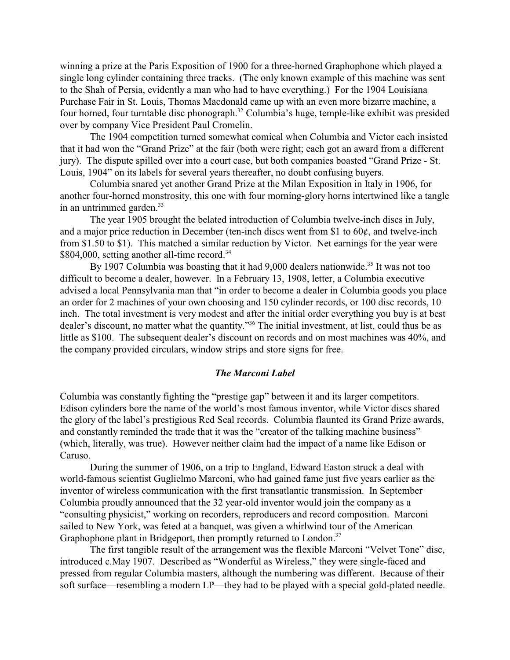winning a prize at the Paris Exposition of 1900 for a three-horned Graphophone which played a single long cylinder containing three tracks. (The only known example of this machine was sent to the Shah of Persia, evidently a man who had to have everything.) For the 1904 Louisiana Purchase Fair in St. Louis, Thomas Macdonald came up with an even more bizarre machine, a four horned, four turntable disc phonograph.<sup>32</sup> Columbia's huge, temple-like exhibit was presided over by company Vice President Paul Cromelin.

The 1904 competition turned somewhat comical when Columbia and Victor each insisted that it had won the "Grand Prize" at the fair (both were right; each got an award from a different jury). The dispute spilled over into a court case, but both companies boasted "Grand Prize - St. Louis, 1904" on its labels for several years thereafter, no doubt confusing buyers.

Columbia snared yet another Grand Prize at the Milan Exposition in Italy in 1906, for another four-horned monstrosity, this one with four morning-glory horns intertwined like a tangle in an untrimmed garden. $33$ 

The year 1905 brought the belated introduction of Columbia twelve-inch discs in July, and a major price reduction in December (ten-inch discs went from \$1 to 60¢, and twelve-inch from \$1.50 to \$1). This matched a similar reduction by Victor. Net earnings for the year were \$804,000, setting another all-time record.<sup>34</sup>

By 1907 Columbia was boasting that it had  $9,000$  dealers nationwide.<sup>35</sup> It was not too difficult to become a dealer, however. In a February 13, 1908, letter, a Columbia executive advised a local Pennsylvania man that "in order to become a dealer in Columbia goods you place an order for 2 machines of your own choosing and 150 cylinder records, or 100 disc records, 10 inch. The total investment is very modest and after the initial order everything you buy is at best dealer's discount, no matter what the quantity."<sup>36</sup> The initial investment, at list, could thus be as little as \$100. The subsequent dealer's discount on records and on most machines was 40%, and the company provided circulars, window strips and store signs for free.

### *The Marconi Label*

Columbia was constantly fighting the "prestige gap" between it and its larger competitors. Edison cylinders bore the name of the world's most famous inventor, while Victor discs shared the glory of the label's prestigious Red Seal records. Columbia flaunted its Grand Prize awards, and constantly reminded the trade that it was the "creator of the talking machine business" (which, literally, was true). However neither claim had the impact of a name like Edison or Caruso.

During the summer of 1906, on a trip to England, Edward Easton struck a deal with world-famous scientist Guglielmo Marconi, who had gained fame just five years earlier as the inventor of wireless communication with the first transatlantic transmission. In September Columbia proudly announced that the 32 year-old inventor would join the company as a "consulting physicist," working on recorders, reproducers and record composition. Marconi sailed to New York, was feted at a banquet, was given a whirlwind tour of the American Graphophone plant in Bridgeport, then promptly returned to London.<sup>37</sup>

The first tangible result of the arrangement was the flexible Marconi "Velvet Tone" disc, introduced c.May 1907. Described as "Wonderful as Wireless," they were single-faced and pressed from regular Columbia masters, although the numbering was different. Because of their soft surface—resembling a modern LP—they had to be played with a special gold-plated needle.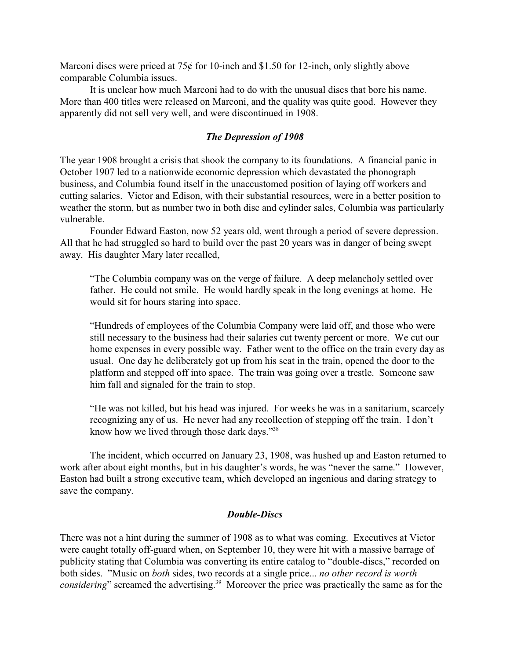Marconi discs were priced at  $75¢$  for 10-inch and \$1.50 for 12-inch, only slightly above comparable Columbia issues.

It is unclear how much Marconi had to do with the unusual discs that bore his name. More than 400 titles were released on Marconi, and the quality was quite good. However they apparently did not sell very well, and were discontinued in 1908.

### *The Depression of 1908*

The year 1908 brought a crisis that shook the company to its foundations. A financial panic in October 1907 led to a nationwide economic depression which devastated the phonograph business, and Columbia found itself in the unaccustomed position of laying off workers and cutting salaries. Victor and Edison, with their substantial resources, were in a better position to weather the storm, but as number two in both disc and cylinder sales, Columbia was particularly vulnerable.

Founder Edward Easton, now 52 years old, went through a period of severe depression. All that he had struggled so hard to build over the past 20 years was in danger of being swept away. His daughter Mary later recalled,

"The Columbia company was on the verge of failure. A deep melancholy settled over father. He could not smile. He would hardly speak in the long evenings at home. He would sit for hours staring into space.

"Hundreds of employees of the Columbia Company were laid off, and those who were still necessary to the business had their salaries cut twenty percent or more. We cut our home expenses in every possible way. Father went to the office on the train every day as usual. One day he deliberately got up from his seat in the train, opened the door to the platform and stepped off into space. The train was going over a trestle. Someone saw him fall and signaled for the train to stop.

"He was not killed, but his head was injured. For weeks he was in a sanitarium, scarcely recognizing any of us. He never had any recollection of stepping off the train. I don't know how we lived through those dark days."<sup>38</sup>

The incident, which occurred on January 23, 1908, was hushed up and Easton returned to work after about eight months, but in his daughter's words, he was "never the same." However, Easton had built a strong executive team, which developed an ingenious and daring strategy to save the company.

## *Double-Discs*

There was not a hint during the summer of 1908 as to what was coming. Executives at Victor were caught totally off-guard when, on September 10, they were hit with a massive barrage of publicity stating that Columbia was converting its entire catalog to "double-discs," recorded on both sides. "Music on *both* sides, two records at a single price... *no other record is worth considering*" screamed the advertising.<sup>39</sup> Moreover the price was practically the same as for the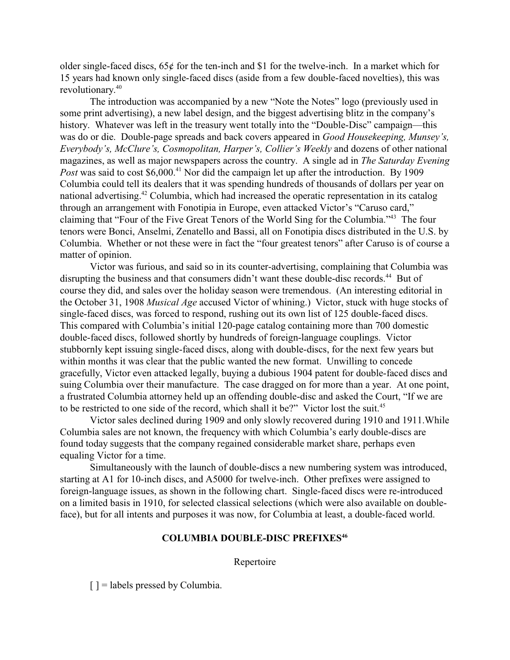older single-faced discs, 65¢ for the ten-inch and \$1 for the twelve-inch. In a market which for 15 years had known only single-faced discs (aside from a few double-faced novelties), this was revolutionary.<sup>40</sup>

The introduction was accompanied by a new "Note the Notes" logo (previously used in some print advertising), a new label design, and the biggest advertising blitz in the company's history. Whatever was left in the treasury went totally into the "Double-Disc" campaign—this was do or die. Double-page spreads and back covers appeared in *Good Housekeeping, Munsey's, Everybody's, McClure's, Cosmopolitan, Harper's, Collier's Weekly* and dozens of other national magazines, as well as major newspapers across the country. A single ad in *The Saturday Evening Post* was said to cost \$6,000.<sup>41</sup> Nor did the campaign let up after the introduction. By 1909 Columbia could tell its dealers that it was spending hundreds of thousands of dollars per year on national advertising.<sup>42</sup> Columbia, which had increased the operatic representation in its catalog through an arrangement with Fonotipia in Europe, even attacked Victor's "Caruso card," claiming that "Four of the Five Great Tenors of the World Sing for the Columbia."<sup>43</sup> The four tenors were Bonci, Anselmi, Zenatello and Bassi, all on Fonotipia discs distributed in the U.S. by Columbia. Whether or not these were in fact the "four greatest tenors" after Caruso is of course a matter of opinion.

Victor was furious, and said so in its counter-advertising, complaining that Columbia was disrupting the business and that consumers didn't want these double-disc records.<sup>44</sup> But of course they did, and sales over the holiday season were tremendous. (An interesting editorial in the October 31, 1908 *Musical Age* accused Victor of whining.) Victor, stuck with huge stocks of single-faced discs, was forced to respond, rushing out its own list of 125 double-faced discs. This compared with Columbia's initial 120-page catalog containing more than 700 domestic double-faced discs, followed shortly by hundreds of foreign-language couplings. Victor stubbornly kept issuing single-faced discs, along with double-discs, for the next few years but within months it was clear that the public wanted the new format. Unwilling to concede gracefully, Victor even attacked legally, buying a dubious 1904 patent for double-faced discs and suing Columbia over their manufacture. The case dragged on for more than a year. At one point, a frustrated Columbia attorney held up an offending double-disc and asked the Court, "If we are to be restricted to one side of the record, which shall it be?" Victor lost the suit.<sup>45</sup>

Victor sales declined during 1909 and only slowly recovered during 1910 and 1911.While Columbia sales are not known, the frequency with which Columbia's early double-discs are found today suggests that the company regained considerable market share, perhaps even equaling Victor for a time.

Simultaneously with the launch of double-discs a new numbering system was introduced, starting at A1 for 10-inch discs, and A5000 for twelve-inch. Other prefixes were assigned to foreign-language issues, as shown in the following chart. Single-faced discs were re-introduced on a limited basis in 1910, for selected classical selections (which were also available on doubleface), but for all intents and purposes it was now, for Columbia at least, a double-faced world.

# **COLUMBIA DOUBLE-DISC PREFIXES<sup>46</sup>**

Repertoire

 $[$ ] = labels pressed by Columbia.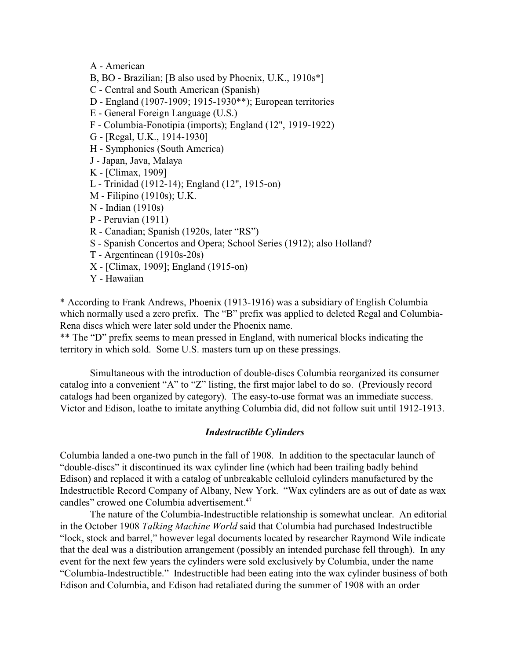A - American

- B, BO Brazilian; [B also used by Phoenix, U.K., 1910s\*]
- C Central and South American (Spanish)
- D England (1907-1909; 1915-1930\*\*); European territories
- E General Foreign Language (U.S.)
- F Columbia-Fonotipia (imports); England (12", 1919-1922)
- G [Regal, U.K., 1914-1930]
- H Symphonies (South America)
- J Japan, Java, Malaya
- K [Climax, 1909]
- L Trinidad (1912-14); England (12", 1915-on)
- M Filipino (1910s); U.K.
- N Indian (1910s)
- P Peruvian (1911)
- R Canadian; Spanish (1920s, later "RS")
- S Spanish Concertos and Opera; School Series (1912); also Holland?
- T Argentinean (1910s-20s)
- X [Climax, 1909]; England (1915-on)
- Y Hawaiian

\* According to Frank Andrews, Phoenix (1913-1916) was a subsidiary of English Columbia which normally used a zero prefix. The "B" prefix was applied to deleted Regal and Columbia-Rena discs which were later sold under the Phoenix name.

\*\* The "D" prefix seems to mean pressed in England, with numerical blocks indicating the territory in which sold. Some U.S. masters turn up on these pressings.

Simultaneous with the introduction of double-discs Columbia reorganized its consumer catalog into a convenient "A" to "Z" listing, the first major label to do so. (Previously record catalogs had been organized by category). The easy-to-use format was an immediate success. Victor and Edison, loathe to imitate anything Columbia did, did not follow suit until 1912-1913.

### *Indestructible Cylinders*

Columbia landed a one-two punch in the fall of 1908. In addition to the spectacular launch of "double-discs" it discontinued its wax cylinder line (which had been trailing badly behind Edison) and replaced it with a catalog of unbreakable celluloid cylinders manufactured by the Indestructible Record Company of Albany, New York. "Wax cylinders are as out of date as wax candles" crowed one Columbia advertisement.<sup>47</sup>

The nature of the Columbia-Indestructible relationship is somewhat unclear. An editorial in the October 1908 *Talking Machine World* said that Columbia had purchased Indestructible "lock, stock and barrel," however legal documents located by researcher Raymond Wile indicate that the deal was a distribution arrangement (possibly an intended purchase fell through). In any event for the next few years the cylinders were sold exclusively by Columbia, under the name "Columbia-Indestructible." Indestructible had been eating into the wax cylinder business of both Edison and Columbia, and Edison had retaliated during the summer of 1908 with an order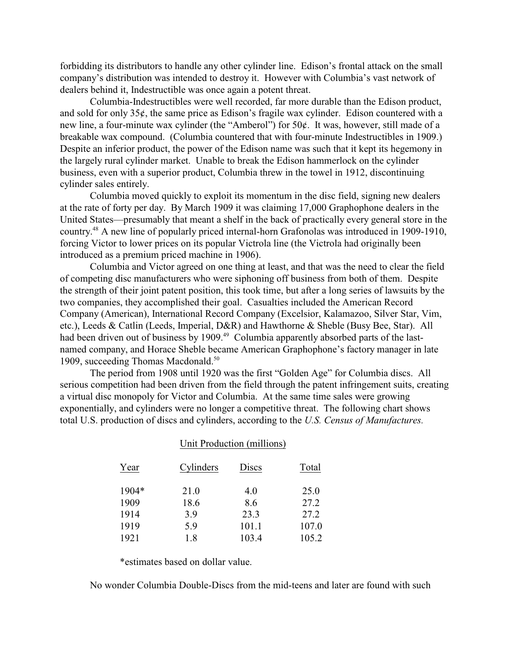forbidding its distributors to handle any other cylinder line. Edison's frontal attack on the small company's distribution was intended to destroy it. However with Columbia's vast network of dealers behind it, Indestructible was once again a potent threat.

Columbia-Indestructibles were well recorded, far more durable than the Edison product, and sold for only 35¢, the same price as Edison's fragile wax cylinder. Edison countered with a new line, a four-minute wax cylinder (the "Amberol") for 50¢. It was, however, still made of a breakable wax compound. (Columbia countered that with four-minute Indestructibles in 1909.) Despite an inferior product, the power of the Edison name was such that it kept its hegemony in the largely rural cylinder market. Unable to break the Edison hammerlock on the cylinder business, even with a superior product, Columbia threw in the towel in 1912, discontinuing cylinder sales entirely.

Columbia moved quickly to exploit its momentum in the disc field, signing new dealers at the rate of forty per day. By March 1909 it was claiming 17,000 Graphophone dealers in the United States—presumably that meant a shelf in the back of practically every general store in the country.<sup>48</sup> A new line of popularly priced internal-horn Grafonolas was introduced in 1909-1910, forcing Victor to lower prices on its popular Victrola line (the Victrola had originally been introduced as a premium priced machine in 1906).

Columbia and Victor agreed on one thing at least, and that was the need to clear the field of competing disc manufacturers who were siphoning off business from both of them. Despite the strength of their joint patent position, this took time, but after a long series of lawsuits by the two companies, they accomplished their goal. Casualties included the American Record Company (American), International Record Company (Excelsior, Kalamazoo, Silver Star, Vim, etc.), Leeds & Catlin (Leeds, Imperial, D&R) and Hawthorne & Sheble (Busy Bee, Star). All had been driven out of business by 1909.<sup>49</sup> Columbia apparently absorbed parts of the lastnamed company, and Horace Sheble became American Graphophone's factory manager in late 1909, succeeding Thomas Macdonald.<sup>50</sup>

The period from 1908 until 1920 was the first "Golden Age" for Columbia discs. All serious competition had been driven from the field through the patent infringement suits, creating a virtual disc monopoly for Victor and Columbia. At the same time sales were growing exponentially, and cylinders were no longer a competitive threat. The following chart shows total U.S. production of discs and cylinders, according to the *U.S. Census of Manufactures.*

|       | $\mathcal{L}$ and $\mathcal{L}$ requestion (infinitions) |       |       |
|-------|----------------------------------------------------------|-------|-------|
| Year  | Cylinders                                                | Discs | Total |
| 1904* | 21.0                                                     | 4.0   | 25.0  |
| 1909  | 18.6                                                     | 8.6   | 27.2  |
| 1914  | 3.9                                                      | 23.3  | 27.2  |
| 1919  | 5.9                                                      | 101.1 | 107.0 |
| 1921  | 1.8                                                      | 103.4 | 105.2 |
|       |                                                          |       |       |

Unit Production (millions)

\*estimates based on dollar value.

No wonder Columbia Double-Discs from the mid-teens and later are found with such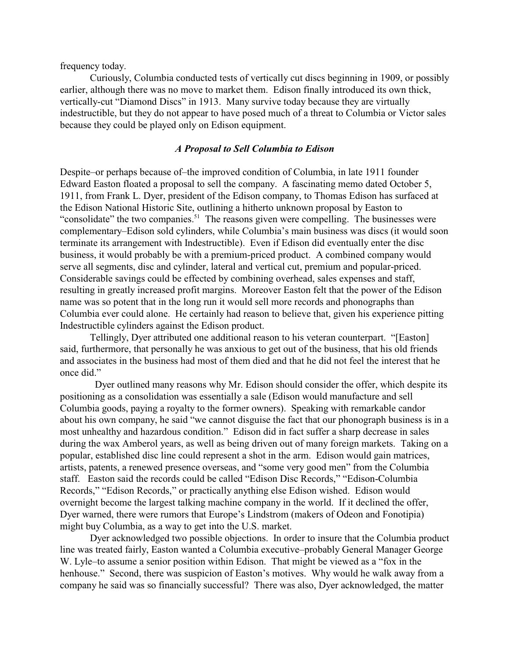frequency today.

Curiously, Columbia conducted tests of vertically cut discs beginning in 1909, or possibly earlier, although there was no move to market them. Edison finally introduced its own thick, vertically-cut "Diamond Discs" in 1913. Many survive today because they are virtually indestructible, but they do not appear to have posed much of a threat to Columbia or Victor sales because they could be played only on Edison equipment.

### *A Proposal to Sell Columbia to Edison*

Despite–or perhaps because of–the improved condition of Columbia, in late 1911 founder Edward Easton floated a proposal to sell the company. A fascinating memo dated October 5, 1911, from Frank L. Dyer, president of the Edison company, to Thomas Edison has surfaced at the Edison National Historic Site, outlining a hitherto unknown proposal by Easton to "consolidate" the two companies.<sup>51</sup> The reasons given were compelling. The businesses were complementary–Edison sold cylinders, while Columbia's main business was discs (it would soon terminate its arrangement with Indestructible). Even if Edison did eventually enter the disc business, it would probably be with a premium-priced product. A combined company would serve all segments, disc and cylinder, lateral and vertical cut, premium and popular-priced. Considerable savings could be effected by combining overhead, sales expenses and staff, resulting in greatly increased profit margins. Moreover Easton felt that the power of the Edison name was so potent that in the long run it would sell more records and phonographs than Columbia ever could alone. He certainly had reason to believe that, given his experience pitting Indestructible cylinders against the Edison product.

Tellingly, Dyer attributed one additional reason to his veteran counterpart. "[Easton] said, furthermore, that personally he was anxious to get out of the business, that his old friends and associates in the business had most of them died and that he did not feel the interest that he once did."

 Dyer outlined many reasons why Mr. Edison should consider the offer, which despite its positioning as a consolidation was essentially a sale (Edison would manufacture and sell Columbia goods, paying a royalty to the former owners). Speaking with remarkable candor about his own company, he said "we cannot disguise the fact that our phonograph business is in a most unhealthy and hazardous condition." Edison did in fact suffer a sharp decrease in sales during the wax Amberol years, as well as being driven out of many foreign markets. Taking on a popular, established disc line could represent a shot in the arm. Edison would gain matrices, artists, patents, a renewed presence overseas, and "some very good men" from the Columbia staff. Easton said the records could be called "Edison Disc Records," "Edison-Columbia Records," "Edison Records," or practically anything else Edison wished. Edison would overnight become the largest talking machine company in the world. If it declined the offer, Dyer warned, there were rumors that Europe's Lindstrom (makers of Odeon and Fonotipia) might buy Columbia, as a way to get into the U.S. market.

Dyer acknowledged two possible objections. In order to insure that the Columbia product line was treated fairly, Easton wanted a Columbia executive–probably General Manager George W. Lyle–to assume a senior position within Edison. That might be viewed as a "fox in the henhouse." Second, there was suspicion of Easton's motives. Why would he walk away from a company he said was so financially successful? There was also, Dyer acknowledged, the matter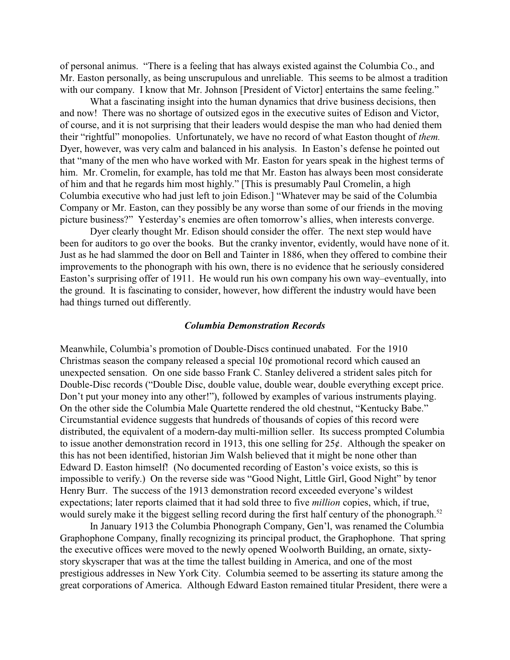of personal animus. "There is a feeling that has always existed against the Columbia Co., and Mr. Easton personally, as being unscrupulous and unreliable. This seems to be almost a tradition with our company. I know that Mr. Johnson [President of Victor] entertains the same feeling."

What a fascinating insight into the human dynamics that drive business decisions, then and now! There was no shortage of outsized egos in the executive suites of Edison and Victor, of course, and it is not surprising that their leaders would despise the man who had denied them their "rightful" monopolies. Unfortunately, we have no record of what Easton thought of *them.*  Dyer, however, was very calm and balanced in his analysis. In Easton's defense he pointed out that "many of the men who have worked with Mr. Easton for years speak in the highest terms of him. Mr. Cromelin, for example, has told me that Mr. Easton has always been most considerate of him and that he regards him most highly." [This is presumably Paul Cromelin, a high Columbia executive who had just left to join Edison.] "Whatever may be said of the Columbia Company or Mr. Easton, can they possibly be any worse than some of our friends in the moving picture business?" Yesterday's enemies are often tomorrow's allies, when interests converge.

Dyer clearly thought Mr. Edison should consider the offer. The next step would have been for auditors to go over the books. But the cranky inventor, evidently, would have none of it. Just as he had slammed the door on Bell and Tainter in 1886, when they offered to combine their improvements to the phonograph with his own, there is no evidence that he seriously considered Easton's surprising offer of 1911. He would run his own company his own way–eventually, into the ground. It is fascinating to consider, however, how different the industry would have been had things turned out differently.

#### *Columbia Demonstration Records*

Meanwhile, Columbia's promotion of Double-Discs continued unabated. For the 1910 Christmas season the company released a special  $10¢$  promotional record which caused an unexpected sensation. On one side basso Frank C. Stanley delivered a strident sales pitch for Double-Disc records ("Double Disc, double value, double wear, double everything except price. Don't put your money into any other!"), followed by examples of various instruments playing. On the other side the Columbia Male Quartette rendered the old chestnut, "Kentucky Babe." Circumstantial evidence suggests that hundreds of thousands of copies of this record were distributed, the equivalent of a modern-day multi-million seller. Its success prompted Columbia to issue another demonstration record in 1913, this one selling for  $25¢$ . Although the speaker on this has not been identified, historian Jim Walsh believed that it might be none other than Edward D. Easton himself! (No documented recording of Easton's voice exists, so this is impossible to verify.) On the reverse side was "Good Night, Little Girl, Good Night" by tenor Henry Burr. The success of the 1913 demonstration record exceeded everyone's wildest expectations; later reports claimed that it had sold three to five *million* copies, which, if true, would surely make it the biggest selling record during the first half century of the phonograph.<sup>52</sup>

In January 1913 the Columbia Phonograph Company, Gen'l, was renamed the Columbia Graphophone Company, finally recognizing its principal product, the Graphophone. That spring the executive offices were moved to the newly opened Woolworth Building, an ornate, sixtystory skyscraper that was at the time the tallest building in America, and one of the most prestigious addresses in New York City. Columbia seemed to be asserting its stature among the great corporations of America. Although Edward Easton remained titular President, there were a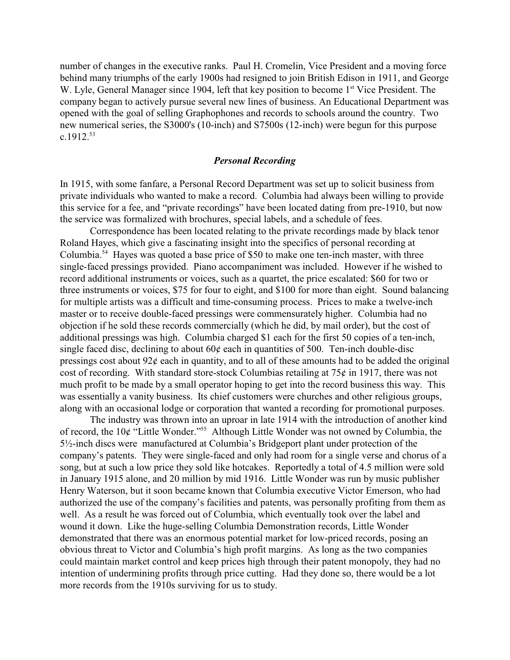number of changes in the executive ranks. Paul H. Cromelin, Vice President and a moving force behind many triumphs of the early 1900s had resigned to join British Edison in 1911, and George W. Lyle, General Manager since 1904, left that key position to become 1<sup>st</sup> Vice President. The company began to actively pursue several new lines of business. An Educational Department was opened with the goal of selling Graphophones and records to schools around the country. Two new numerical series, the S3000's (10-inch) and S7500s (12-inch) were begun for this purpose  $c.1912.^{53}$ 

### *Personal Recording*

In 1915, with some fanfare, a Personal Record Department was set up to solicit business from private individuals who wanted to make a record. Columbia had always been willing to provide this service for a fee, and "private recordings" have been located dating from pre-1910, but now the service was formalized with brochures, special labels, and a schedule of fees.

Correspondence has been located relating to the private recordings made by black tenor Roland Hayes, which give a fascinating insight into the specifics of personal recording at Columbia.<sup>54</sup> Hayes was quoted a base price of \$50 to make one ten-inch master, with three single-faced pressings provided. Piano accompaniment was included. However if he wished to record additional instruments or voices, such as a quartet, the price escalated: \$60 for two or three instruments or voices, \$75 for four to eight, and \$100 for more than eight. Sound balancing for multiple artists was a difficult and time-consuming process. Prices to make a twelve-inch master or to receive double-faced pressings were commensurately higher. Columbia had no objection if he sold these records commercially (which he did, by mail order), but the cost of additional pressings was high. Columbia charged \$1 each for the first 50 copies of a ten-inch, single faced disc, declining to about 60¢ each in quantities of 500. Ten-inch double-disc pressings cost about  $92¢$  each in quantity, and to all of these amounts had to be added the original cost of recording. With standard store-stock Columbias retailing at  $75¢$  in 1917, there was not much profit to be made by a small operator hoping to get into the record business this way. This was essentially a vanity business. Its chief customers were churches and other religious groups, along with an occasional lodge or corporation that wanted a recording for promotional purposes.

The industry was thrown into an uproar in late 1914 with the introduction of another kind of record, the  $10¢$  "Little Wonder."<sup>55</sup> Although Little Wonder was not owned by Columbia, the 5½-inch discs were manufactured at Columbia's Bridgeport plant under protection of the company's patents. They were single-faced and only had room for a single verse and chorus of a song, but at such a low price they sold like hotcakes. Reportedly a total of 4.5 million were sold in January 1915 alone, and 20 million by mid 1916. Little Wonder was run by music publisher Henry Waterson, but it soon became known that Columbia executive Victor Emerson, who had authorized the use of the company's facilities and patents, was personally profiting from them as well. As a result he was forced out of Columbia, which eventually took over the label and wound it down. Like the huge-selling Columbia Demonstration records, Little Wonder demonstrated that there was an enormous potential market for low-priced records, posing an obvious threat to Victor and Columbia's high profit margins. As long as the two companies could maintain market control and keep prices high through their patent monopoly, they had no intention of undermining profits through price cutting. Had they done so, there would be a lot more records from the 1910s surviving for us to study.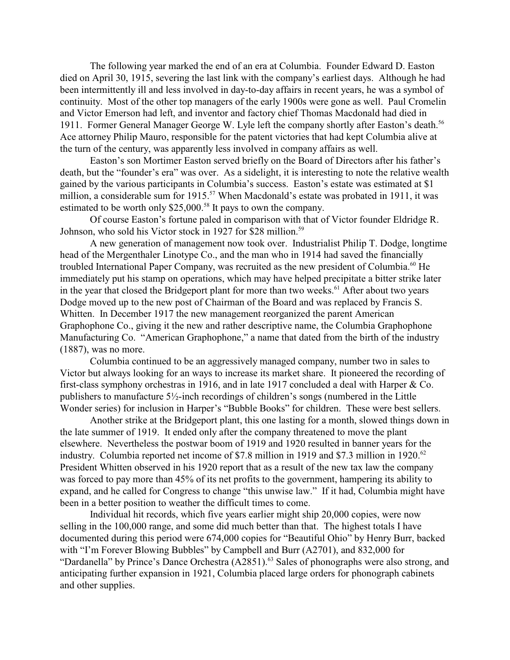The following year marked the end of an era at Columbia. Founder Edward D. Easton died on April 30, 1915, severing the last link with the company's earliest days. Although he had been intermittently ill and less involved in day-to-day affairs in recent years, he was a symbol of continuity. Most of the other top managers of the early 1900s were gone as well. Paul Cromelin and Victor Emerson had left, and inventor and factory chief Thomas Macdonald had died in 1911. Former General Manager George W. Lyle left the company shortly after Easton's death.<sup>56</sup> Ace attorney Philip Mauro, responsible for the patent victories that had kept Columbia alive at the turn of the century, was apparently less involved in company affairs as well.

Easton's son Mortimer Easton served briefly on the Board of Directors after his father's death, but the "founder's era" was over. As a sidelight, it is interesting to note the relative wealth gained by the various participants in Columbia's success. Easton's estate was estimated at \$1 million, a considerable sum for 1915.<sup>57</sup> When Macdonald's estate was probated in 1911, it was estimated to be worth only  $$25,000.^{58}$  It pays to own the company.

Of course Easton's fortune paled in comparison with that of Victor founder Eldridge R. Johnson, who sold his Victor stock in 1927 for \$28 million.<sup>59</sup>

A new generation of management now took over. Industrialist Philip T. Dodge, longtime head of the Mergenthaler Linotype Co., and the man who in 1914 had saved the financially troubled International Paper Company, was recruited as the new president of Columbia.<sup>60</sup> He immediately put his stamp on operations, which may have helped precipitate a bitter strike later in the year that closed the Bridgeport plant for more than two weeks.<sup>61</sup> After about two years Dodge moved up to the new post of Chairman of the Board and was replaced by Francis S. Whitten. In December 1917 the new management reorganized the parent American Graphophone Co., giving it the new and rather descriptive name, the Columbia Graphophone Manufacturing Co. "American Graphophone," a name that dated from the birth of the industry (1887), was no more.

Columbia continued to be an aggressively managed company, number two in sales to Victor but always looking for an ways to increase its market share. It pioneered the recording of first-class symphony orchestras in 1916, and in late 1917 concluded a deal with Harper & Co. publishers to manufacture 5½-inch recordings of children's songs (numbered in the Little Wonder series) for inclusion in Harper's "Bubble Books" for children. These were best sellers.

Another strike at the Bridgeport plant, this one lasting for a month, slowed things down in the late summer of 1919. It ended only after the company threatened to move the plant elsewhere. Nevertheless the postwar boom of 1919 and 1920 resulted in banner years for the industry. Columbia reported net income of \$7.8 million in 1919 and \$7.3 million in 1920.<sup>62</sup> President Whitten observed in his 1920 report that as a result of the new tax law the company was forced to pay more than 45% of its net profits to the government, hampering its ability to expand, and he called for Congress to change "this unwise law." If it had, Columbia might have been in a better position to weather the difficult times to come.

Individual hit records, which five years earlier might ship 20,000 copies, were now selling in the 100,000 range, and some did much better than that. The highest totals I have documented during this period were 674,000 copies for "Beautiful Ohio" by Henry Burr, backed with "I'm Forever Blowing Bubbles" by Campbell and Burr (A2701), and 832,000 for "Dardanella" by Prince's Dance Orchestra (A2851).<sup>63</sup> Sales of phonographs were also strong, and anticipating further expansion in 1921, Columbia placed large orders for phonograph cabinets and other supplies.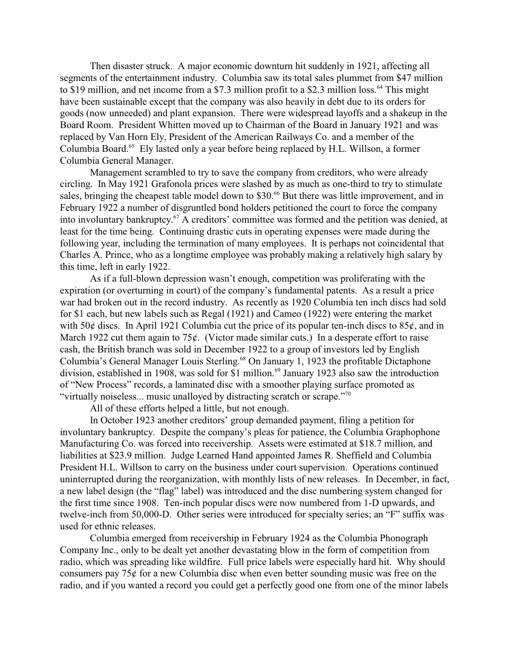Then disaster struck. A major economic downturn hit suddenly in 1921, affecting all segments of the entertainment industry. Columbia saw its total sales plummet from \$47 million to \$19 million, and net income from a \$7.3 million profit to a \$2.3 million loss.<sup>64</sup> This might have been sustainable except that the company was also heavily in debt due to its orders for goods (now unneeded) and plant expansion. There were widespread layoffs and a shakeup in the Board Room. President Whitten moved up to Chairman of the Board in January 1921 and was replaced by Van Horn Ely, President of the American Railways Co. and a member of the Columbia Board.<sup>65</sup> Ely lasted only a year before being replaced by H.L. Willson, a former Columbia General Manager.

Management scrambled to try to save the company from creditors, who were already circling. In May 1921 Grafonola prices were slashed by as much as one-third to try to stimulate sales, bringing the cheapest table model down to  $$30<sup>66</sup>$  But there was little improvement, and in February 1922 a number of disgruntled bond holders petitioned the court to force the company into involuntary bankruptcy.<sup> $67$ </sup> A creditors' committee was formed and the petition was denied, at least for the time being. Continuing drastic cuts in operating expenses were made during the following year, including the termination of many employees. It is perhaps not coincidental that Charles A. Prince, who as a longtime employee was probably making a relatively high salary by this time, left in early 1922.

As if a full-blown depression wasn't enough, competition was proliferating with the expiration (or overturning in court) of the company's fundamental patents. As a result a price war had broken out in the record industry. As recently as 1920 Columbia ten inch discs had sold for \$1 each, but new labels such as Regal (1921) and Cameo (1922) were entering the market with 50 $\phi$  discs. In April 1921 Columbia cut the price of its popular ten-inch discs to 85 $\phi$ , and in March 1922 cut them again to 75 $\phi$ . (Victor made similar cuts.) In a desperate effort to raise cash, the British branch was sold in December 1922 to a group of investors led by English Columbia's General Manager Louis Sterling.<sup>68</sup> On January 1, 1923 the profitable Dictaphone division, established in 1908, was sold for \$1 million.<sup> $69$ </sup> January 1923 also saw the introduction of "New Process" records, a laminated disc with a smoother playing surface promoted as "virtually noiseless... music unalloyed by distracting scratch or scrape."<sup>70</sup>

All of these efforts helped a little, but not enough.

In October 1923 another creditors' group demanded payment, filing a petition for involuntary bankruptcy. Despite the company's pleas for patience, the Columbia Graphophone Manufacturing Co. was forced into receivership. Assets were estimated at \$18.7 million, and liabilities at \$23.9 million. Judge Learned Hand appointed James R. Sheffield and Columbia President H.L. Willson to carry on the business under court supervision. Operations continued uninterrupted during the reorganization, with monthly lists of new releases. In December, in fact, a new label design (the "flag" label) was introduced and the disc numbering system changed for the first time since 1908. Ten-inch popular discs were now numbered from 1-D upwards, and twelve-inch from 50,000-D. Other series were introduced for specialty series; an "F" suffix was used for ethnic releases.

Columbia emerged from receivership in February 1924 as the Columbia Phonograph Company Inc., only to be dealt yet another devastating blow in the form of competition from radio, which was spreading like wildfire. Full price labels were especially hard hit. Why should consumers pay 75¢ for a new Columbia disc when even better sounding music was free on the radio, and if you wanted a record you could get a perfectly good one from one of the minor labels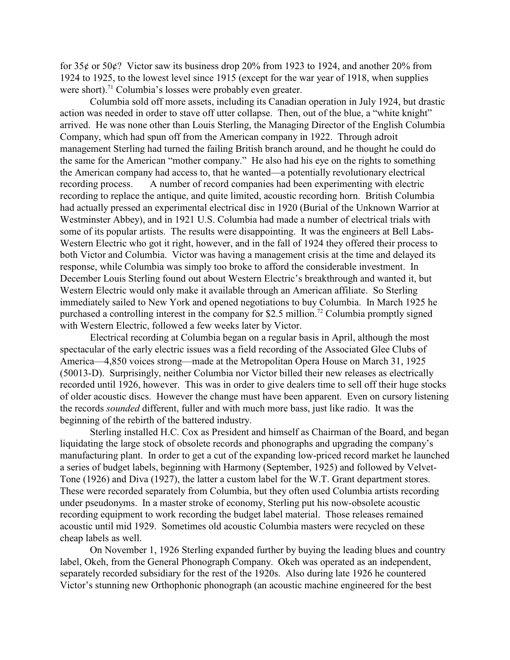for 35¢ or 50¢? Victor saw its business drop 20% from 1923 to 1924, and another 20% from 1924 to 1925, to the lowest level since 1915 (except for the war year of 1918, when supplies were short).<sup>71</sup> Columbia's losses were probably even greater.

Columbia sold off more assets, including its Canadian operation in July 1924, but drastic action was needed in order to stave off utter collapse. Then, out of the blue, a "white knight" arrived. He was none other than Louis Sterling, the Managing Director of the English Columbia Company, which had spun off from the American company in 1922. Through adroit management Sterling had turned the failing British branch around, and he thought he could do the same for the American "mother company." He also had his eye on the rights to something the American company had access to, that he wanted—a potentially revolutionary electrical recording process. A number of record companies had been experimenting with electric recording to replace the antique, and quite limited, acoustic recording horn. British Columbia had actually pressed an experimental electrical disc in 1920 (Burial of the Unknown Warrior at Westminster Abbey), and in 1921 U.S. Columbia had made a number of electrical trials with some of its popular artists. The results were disappointing. It was the engineers at Bell Labs-Western Electric who got it right, however, and in the fall of 1924 they offered their process to both Victor and Columbia. Victor was having a management crisis at the time and delayed its response, while Columbia was simply too broke to afford the considerable investment. In December Louis Sterling found out about Western Electric's breakthrough and wanted it, but Western Electric would only make it available through an American affiliate. So Sterling immediately sailed to New York and opened negotiations to buy Columbia. In March 1925 he purchased a controlling interest in the company for \$2.5 million.<sup>72</sup> Columbia promptly signed with Western Electric, followed a few weeks later by Victor.

Electrical recording at Columbia began on a regular basis in April, although the most spectacular of the early electric issues was a field recording of the Associated Glee Clubs of America—4,850 voices strong—made at the Metropolitan Opera House on March 31, 1925 (50013-D). Surprisingly, neither Columbia nor Victor billed their new releases as electrically recorded until 1926, however. This was in order to give dealers time to sell off their huge stocks of older acoustic discs. However the change must have been apparent. Even on cursory listening the records *sounded* different, fuller and with much more bass, just like radio. It was the beginning of the rebirth of the battered industry.

Sterling installed H.C. Cox as President and himself as Chairman of the Board, and began liquidating the large stock of obsolete records and phonographs and upgrading the company's manufacturing plant. In order to get a cut of the expanding low-priced record market he launched a series of budget labels, beginning with Harmony (September, 1925) and followed by Velvet-Tone (1926) and Diva (1927), the latter a custom label for the W.T. Grant department stores. These were recorded separately from Columbia, but they often used Columbia artists recording under pseudonyms. In a master stroke of economy, Sterling put his now-obsolete acoustic recording equipment to work recording the budget label material. Those releases remained acoustic until mid 1929. Sometimes old acoustic Columbia masters were recycled on these cheap labels as well.

On November 1, 1926 Sterling expanded further by buying the leading blues and country label, Okeh, from the General Phonograph Company. Okeh was operated as an independent, separately recorded subsidiary for the rest of the 1920s. Also during late 1926 he countered Victor's stunning new Orthophonic phonograph (an acoustic machine engineered for the best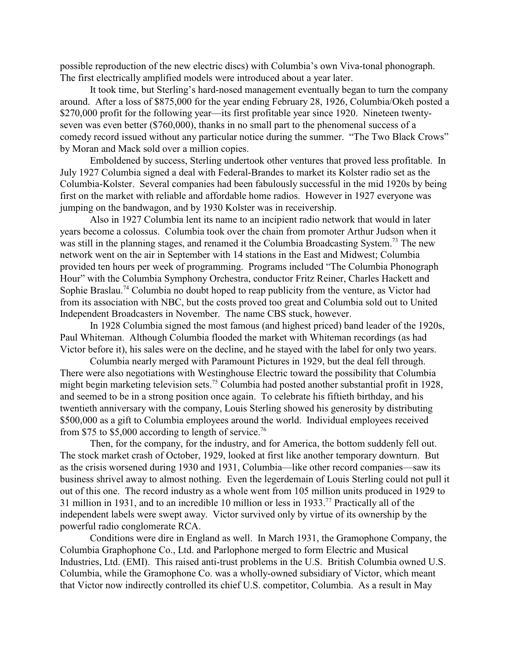possible reproduction of the new electric discs) with Columbia's own Viva-tonal phonograph. The first electrically amplified models were introduced about a year later.

It took time, but Sterling's hard-nosed management eventually began to turn the company around. After a loss of \$875,000 for the year ending February 28, 1926, Columbia/Okeh posted a \$270,000 profit for the following year—its first profitable year since 1920. Nineteen twentyseven was even better (\$760,000), thanks in no small part to the phenomenal success of a comedy record issued without any particular notice during the summer. "The Two Black Crows" by Moran and Mack sold over a million copies.

Emboldened by success, Sterling undertook other ventures that proved less profitable. In July 1927 Columbia signed a deal with Federal-Brandes to market its Kolster radio set as the Columbia-Kolster. Several companies had been fabulously successful in the mid 1920s by being first on the market with reliable and affordable home radios. However in 1927 everyone was jumping on the bandwagon, and by 1930 Kolster was in receivership.

Also in 1927 Columbia lent its name to an incipient radio network that would in later years become a colossus. Columbia took over the chain from promoter Arthur Judson when it was still in the planning stages, and renamed it the Columbia Broadcasting System.<sup>73</sup> The new network went on the air in September with 14 stations in the East and Midwest; Columbia provided ten hours per week of programming. Programs included "The Columbia Phonograph Hour" with the Columbia Symphony Orchestra, conductor Fritz Reiner, Charles Hackett and Sophie Braslau.<sup>74</sup> Columbia no doubt hoped to reap publicity from the venture, as Victor had from its association with NBC, but the costs proved too great and Columbia sold out to United Independent Broadcasters in November. The name CBS stuck, however.

In 1928 Columbia signed the most famous (and highest priced) band leader of the 1920s, Paul Whiteman. Although Columbia flooded the market with Whiteman recordings (as had Victor before it), his sales were on the decline, and he stayed with the label for only two years.

Columbia nearly merged with Paramount Pictures in 1929, but the deal fell through. There were also negotiations with Westinghouse Electric toward the possibility that Columbia might begin marketing television sets.<sup>75</sup> Columbia had posted another substantial profit in 1928, and seemed to be in a strong position once again. To celebrate his fiftieth birthday, and his twentieth anniversary with the company, Louis Sterling showed his generosity by distributing \$500,000 as a gift to Columbia employees around the world. Individual employees received from \$75 to \$5,000 according to length of service.<sup>76</sup>

Then, for the company, for the industry, and for America, the bottom suddenly fell out. The stock market crash of October, 1929, looked at first like another temporary downturn. But as the crisis worsened during 1930 and 1931, Columbia—like other record companies—saw its business shrivel away to almost nothing. Even the legerdemain of Louis Sterling could not pull it out of this one. The record industry as a whole went from 105 million units produced in 1929 to 31 million in 1931, and to an incredible 10 million or less in 1933.<sup>77</sup> Practically all of the independent labels were swept away. Victor survived only by virtue of its ownership by the powerful radio conglomerate RCA.

Conditions were dire in England as well. In March 1931, the Gramophone Company, the Columbia Graphophone Co., Ltd. and Parlophone merged to form Electric and Musical Industries, Ltd. (EMI). This raised anti-trust problems in the U.S. British Columbia owned U.S. Columbia, while the Gramophone Co. was a wholly-owned subsidiary of Victor, which meant that Victor now indirectly controlled its chief U.S. competitor, Columbia. As a result in May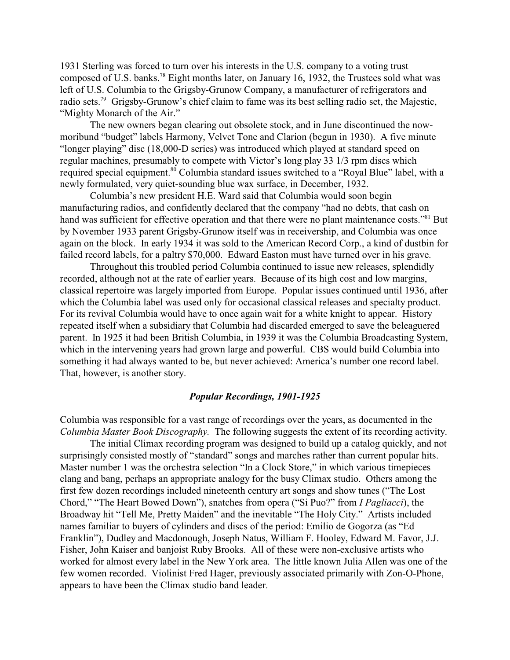1931 Sterling was forced to turn over his interests in the U.S. company to a voting trust composed of U.S. banks.<sup>78</sup> Eight months later, on January 16, 1932, the Trustees sold what was left of U.S. Columbia to the Grigsby-Grunow Company, a manufacturer of refrigerators and radio sets.<sup>79</sup> Grigsby-Grunow's chief claim to fame was its best selling radio set, the Majestic, "Mighty Monarch of the Air."

The new owners began clearing out obsolete stock, and in June discontinued the nowmoribund "budget" labels Harmony, Velvet Tone and Clarion (begun in 1930). A five minute "longer playing" disc (18,000-D series) was introduced which played at standard speed on regular machines, presumably to compete with Victor's long play 33 1/3 rpm discs which required special equipment.<sup>80</sup> Columbia standard issues switched to a "Royal Blue" label, with a newly formulated, very quiet-sounding blue wax surface, in December, 1932.

Columbia's new president H.E. Ward said that Columbia would soon begin manufacturing radios, and confidently declared that the company "had no debts, that cash on hand was sufficient for effective operation and that there were no plant maintenance costs."<sup>81</sup> But by November 1933 parent Grigsby-Grunow itself was in receivership, and Columbia was once again on the block. In early 1934 it was sold to the American Record Corp., a kind of dustbin for failed record labels, for a paltry \$70,000. Edward Easton must have turned over in his grave.

Throughout this troubled period Columbia continued to issue new releases, splendidly recorded, although not at the rate of earlier years. Because of its high cost and low margins, classical repertoire was largely imported from Europe. Popular issues continued until 1936, after which the Columbia label was used only for occasional classical releases and specialty product. For its revival Columbia would have to once again wait for a white knight to appear. History repeated itself when a subsidiary that Columbia had discarded emerged to save the beleaguered parent. In 1925 it had been British Columbia, in 1939 it was the Columbia Broadcasting System, which in the intervening years had grown large and powerful. CBS would build Columbia into something it had always wanted to be, but never achieved: America's number one record label. That, however, is another story.

#### *Popular Recordings, 1901-1925*

Columbia was responsible for a vast range of recordings over the years, as documented in the *Columbia Master Book Discography.* The following suggests the extent of its recording activity.

The initial Climax recording program was designed to build up a catalog quickly, and not surprisingly consisted mostly of "standard" songs and marches rather than current popular hits. Master number 1 was the orchestra selection "In a Clock Store," in which various timepieces clang and bang, perhaps an appropriate analogy for the busy Climax studio. Others among the first few dozen recordings included nineteenth century art songs and show tunes ("The Lost Chord," "The Heart Bowed Down"), snatches from opera ("Si Puo?" from *I Pagliacci*), the Broadway hit "Tell Me, Pretty Maiden" and the inevitable "The Holy City." Artists included names familiar to buyers of cylinders and discs of the period: Emilio de Gogorza (as "Ed Franklin"), Dudley and Macdonough, Joseph Natus, William F. Hooley, Edward M. Favor, J.J. Fisher, John Kaiser and banjoist Ruby Brooks. All of these were non-exclusive artists who worked for almost every label in the New York area. The little known Julia Allen was one of the few women recorded. Violinist Fred Hager, previously associated primarily with Zon-O-Phone, appears to have been the Climax studio band leader.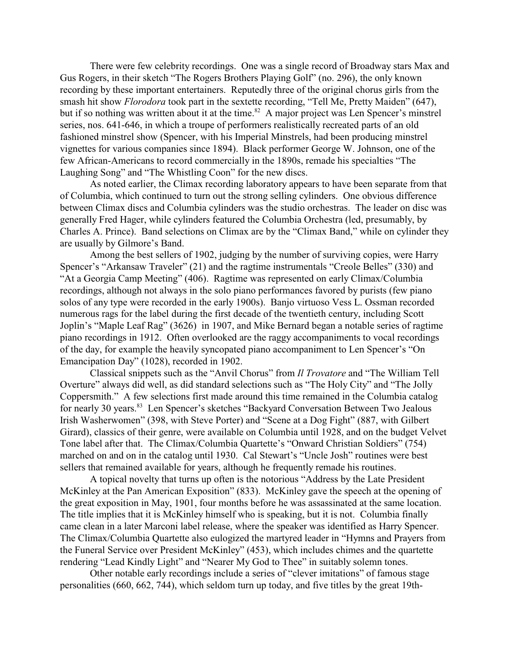There were few celebrity recordings. One was a single record of Broadway stars Max and Gus Rogers, in their sketch "The Rogers Brothers Playing Golf" (no. 296), the only known recording by these important entertainers. Reputedly three of the original chorus girls from the smash hit show *Florodora* took part in the sextette recording, "Tell Me, Pretty Maiden" (647), but if so nothing was written about it at the time.<sup>82</sup> A major project was Len Spencer's minstrel series, nos. 641-646, in which a troupe of performers realistically recreated parts of an old fashioned minstrel show (Spencer, with his Imperial Minstrels, had been producing minstrel vignettes for various companies since 1894). Black performer George W. Johnson, one of the few African-Americans to record commercially in the 1890s, remade his specialties "The Laughing Song" and "The Whistling Coon" for the new discs.

As noted earlier, the Climax recording laboratory appears to have been separate from that of Columbia, which continued to turn out the strong selling cylinders. One obvious difference between Climax discs and Columbia cylinders was the studio orchestras. The leader on disc was generally Fred Hager, while cylinders featured the Columbia Orchestra (led, presumably, by Charles A. Prince). Band selections on Climax are by the "Climax Band," while on cylinder they are usually by Gilmore's Band.

Among the best sellers of 1902, judging by the number of surviving copies, were Harry Spencer's "Arkansaw Traveler" (21) and the ragtime instrumentals "Creole Belles" (330) and "At a Georgia Camp Meeting" (406). Ragtime was represented on early Climax/Columbia recordings, although not always in the solo piano performances favored by purists (few piano solos of any type were recorded in the early 1900s). Banjo virtuoso Vess L. Ossman recorded numerous rags for the label during the first decade of the twentieth century, including Scott Joplin's "Maple Leaf Rag" (3626) in 1907, and Mike Bernard began a notable series of ragtime piano recordings in 1912. Often overlooked are the raggy accompaniments to vocal recordings of the day, for example the heavily syncopated piano accompaniment to Len Spencer's "On Emancipation Day" (1028), recorded in 1902.

Classical snippets such as the "Anvil Chorus" from *Il Trovatore* and "The William Tell Overture" always did well, as did standard selections such as "The Holy City" and "The Jolly Coppersmith." A few selections first made around this time remained in the Columbia catalog for nearly 30 years.<sup>83</sup> Len Spencer's sketches "Backyard Conversation Between Two Jealous Irish Washerwomen" (398, with Steve Porter) and "Scene at a Dog Fight" (887, with Gilbert Girard), classics of their genre, were available on Columbia until 1928, and on the budget Velvet Tone label after that. The Climax/Columbia Quartette's "Onward Christian Soldiers" (754) marched on and on in the catalog until 1930. Cal Stewart's "Uncle Josh" routines were best sellers that remained available for years, although he frequently remade his routines.

A topical novelty that turns up often is the notorious "Address by the Late President McKinley at the Pan American Exposition" (833). McKinley gave the speech at the opening of the great exposition in May, 1901, four months before he was assassinated at the same location. The title implies that it is McKinley himself who is speaking, but it is not. Columbia finally came clean in a later Marconi label release, where the speaker was identified as Harry Spencer. The Climax/Columbia Quartette also eulogized the martyred leader in "Hymns and Prayers from the Funeral Service over President McKinley" (453), which includes chimes and the quartette rendering "Lead Kindly Light" and "Nearer My God to Thee" in suitably solemn tones.

Other notable early recordings include a series of "clever imitations" of famous stage personalities (660, 662, 744), which seldom turn up today, and five titles by the great 19th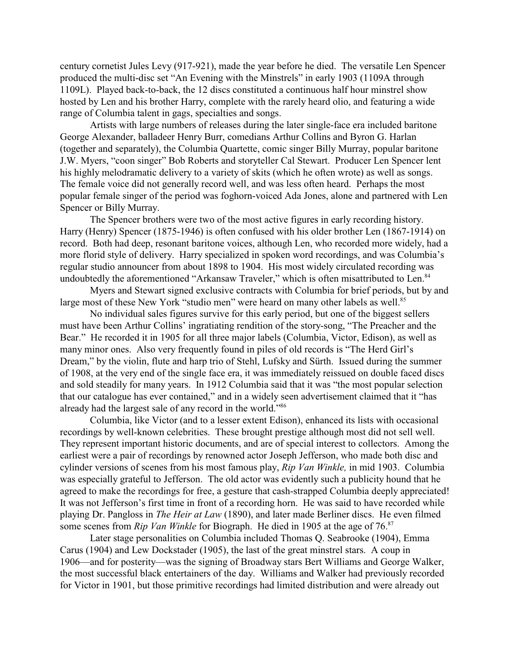century cornetist Jules Levy (917-921), made the year before he died. The versatile Len Spencer produced the multi-disc set "An Evening with the Minstrels" in early 1903 (1109A through 1109L). Played back-to-back, the 12 discs constituted a continuous half hour minstrel show hosted by Len and his brother Harry, complete with the rarely heard olio, and featuring a wide range of Columbia talent in gags, specialties and songs.

Artists with large numbers of releases during the later single-face era included baritone George Alexander, balladeer Henry Burr, comedians Arthur Collins and Byron G. Harlan (together and separately), the Columbia Quartette, comic singer Billy Murray, popular baritone J.W. Myers, "coon singer" Bob Roberts and storyteller Cal Stewart. Producer Len Spencer lent his highly melodramatic delivery to a variety of skits (which he often wrote) as well as songs. The female voice did not generally record well, and was less often heard. Perhaps the most popular female singer of the period was foghorn-voiced Ada Jones, alone and partnered with Len Spencer or Billy Murray.

The Spencer brothers were two of the most active figures in early recording history. Harry (Henry) Spencer (1875-1946) is often confused with his older brother Len (1867-1914) on record. Both had deep, resonant baritone voices, although Len, who recorded more widely, had a more florid style of delivery. Harry specialized in spoken word recordings, and was Columbia's regular studio announcer from about 1898 to 1904. His most widely circulated recording was undoubtedly the aforementioned "Arkansaw Traveler," which is often misattributed to Len.<sup>84</sup>

Myers and Stewart signed exclusive contracts with Columbia for brief periods, but by and large most of these New York "studio men" were heard on many other labels as well.<sup>85</sup>

No individual sales figures survive for this early period, but one of the biggest sellers must have been Arthur Collins' ingratiating rendition of the story-song, "The Preacher and the Bear." He recorded it in 1905 for all three major labels (Columbia, Victor, Edison), as well as many minor ones. Also very frequently found in piles of old records is "The Herd Girl's Dream," by the violin, flute and harp trio of Stehl, Lufsky and Sürth. Issued during the summer of 1908, at the very end of the single face era, it was immediately reissued on double faced discs and sold steadily for many years. In 1912 Columbia said that it was "the most popular selection that our catalogue has ever contained," and in a widely seen advertisement claimed that it "has already had the largest sale of any record in the world."<sup>86</sup>

Columbia, like Victor (and to a lesser extent Edison), enhanced its lists with occasional recordings by well-known celebrities. These brought prestige although most did not sell well. They represent important historic documents, and are of special interest to collectors. Among the earliest were a pair of recordings by renowned actor Joseph Jefferson, who made both disc and cylinder versions of scenes from his most famous play, *Rip Van Winkle,* in mid 1903. Columbia was especially grateful to Jefferson. The old actor was evidently such a publicity hound that he agreed to make the recordings for free, a gesture that cash-strapped Columbia deeply appreciated! It was not Jefferson's first time in front of a recording horn. He was said to have recorded while playing Dr. Pangloss in *The Heir at Law* (1890), and later made Berliner discs. He even filmed some scenes from *Rip Van Winkle* for Biograph. He died in 1905 at the age of 76.<sup>87</sup>

Later stage personalities on Columbia included Thomas Q. Seabrooke (1904), Emma Carus (1904) and Lew Dockstader (1905), the last of the great minstrel stars. A coup in 1906—and for posterity—was the signing of Broadway stars Bert Williams and George Walker, the most successful black entertainers of the day. Williams and Walker had previously recorded for Victor in 1901, but those primitive recordings had limited distribution and were already out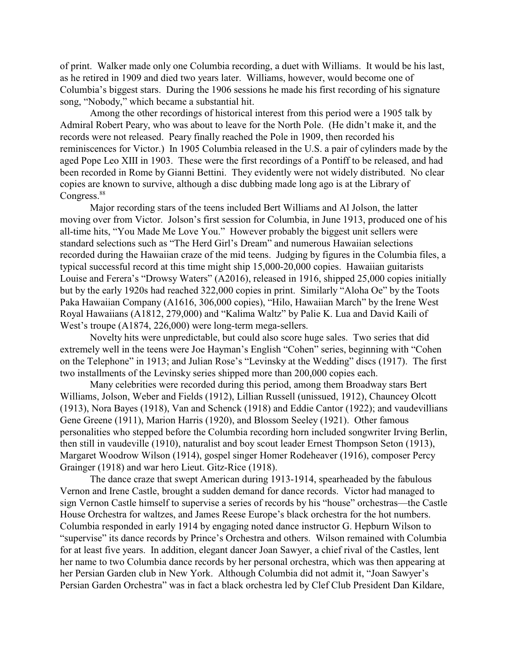of print. Walker made only one Columbia recording, a duet with Williams. It would be his last, as he retired in 1909 and died two years later. Williams, however, would become one of Columbia's biggest stars. During the 1906 sessions he made his first recording of his signature song, "Nobody," which became a substantial hit.

Among the other recordings of historical interest from this period were a 1905 talk by Admiral Robert Peary, who was about to leave for the North Pole. (He didn't make it, and the records were not released. Peary finally reached the Pole in 1909, then recorded his reminiscences for Victor.) In 1905 Columbia released in the U.S. a pair of cylinders made by the aged Pope Leo XIII in 1903. These were the first recordings of a Pontiff to be released, and had been recorded in Rome by Gianni Bettini. They evidently were not widely distributed. No clear copies are known to survive, although a disc dubbing made long ago is at the Library of Congress.<sup>88</sup>

Major recording stars of the teens included Bert Williams and Al Jolson, the latter moving over from Victor. Jolson's first session for Columbia, in June 1913, produced one of his all-time hits, "You Made Me Love You." However probably the biggest unit sellers were standard selections such as "The Herd Girl's Dream" and numerous Hawaiian selections recorded during the Hawaiian craze of the mid teens. Judging by figures in the Columbia files, a typical successful record at this time might ship 15,000-20,000 copies. Hawaiian guitarists Louise and Ferera's "Drowsy Waters" (A2016), released in 1916, shipped 25,000 copies initially but by the early 1920s had reached 322,000 copies in print. Similarly "Aloha Oe" by the Toots Paka Hawaiian Company (A1616, 306,000 copies), "Hilo, Hawaiian March" by the Irene West Royal Hawaiians (A1812, 279,000) and "Kalima Waltz" by Palie K. Lua and David Kaili of West's troupe (A1874, 226,000) were long-term mega-sellers.

Novelty hits were unpredictable, but could also score huge sales. Two series that did extremely well in the teens were Joe Hayman's English "Cohen" series, beginning with "Cohen on the Telephone" in 1913; and Julian Rose's "Levinsky at the Wedding" discs (1917). The first two installments of the Levinsky series shipped more than 200,000 copies each.

Many celebrities were recorded during this period, among them Broadway stars Bert Williams, Jolson, Weber and Fields (1912), Lillian Russell (unissued, 1912), Chauncey Olcott (1913), Nora Bayes (1918), Van and Schenck (1918) and Eddie Cantor (1922); and vaudevillians Gene Greene (1911), Marion Harris (1920), and Blossom Seeley (1921). Other famous personalities who stepped before the Columbia recording horn included songwriter Irving Berlin, then still in vaudeville (1910), naturalist and boy scout leader Ernest Thompson Seton (1913), Margaret Woodrow Wilson (1914), gospel singer Homer Rodeheaver (1916), composer Percy Grainger (1918) and war hero Lieut. Gitz-Rice (1918).

The dance craze that swept American during 1913-1914, spearheaded by the fabulous Vernon and Irene Castle, brought a sudden demand for dance records. Victor had managed to sign Vernon Castle himself to supervise a series of records by his "house" orchestras—the Castle House Orchestra for waltzes, and James Reese Europe's black orchestra for the hot numbers. Columbia responded in early 1914 by engaging noted dance instructor G. Hepburn Wilson to "supervise" its dance records by Prince's Orchestra and others. Wilson remained with Columbia for at least five years. In addition, elegant dancer Joan Sawyer, a chief rival of the Castles, lent her name to two Columbia dance records by her personal orchestra, which was then appearing at her Persian Garden club in New York. Although Columbia did not admit it, "Joan Sawyer's Persian Garden Orchestra" was in fact a black orchestra led by Clef Club President Dan Kildare,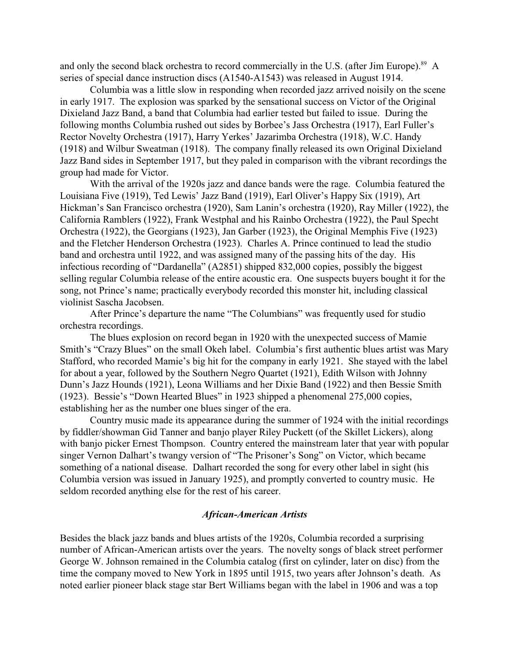and only the second black orchestra to record commercially in the U.S. (after Jim Europe).<sup>89</sup> A series of special dance instruction discs (A1540-A1543) was released in August 1914.

Columbia was a little slow in responding when recorded jazz arrived noisily on the scene in early 1917. The explosion was sparked by the sensational success on Victor of the Original Dixieland Jazz Band, a band that Columbia had earlier tested but failed to issue. During the following months Columbia rushed out sides by Borbee's Jass Orchestra (1917), Earl Fuller's Rector Novelty Orchestra (1917), Harry Yerkes' Jazarimba Orchestra (1918), W.C. Handy (1918) and Wilbur Sweatman (1918). The company finally released its own Original Dixieland Jazz Band sides in September 1917, but they paled in comparison with the vibrant recordings the group had made for Victor.

With the arrival of the 1920s jazz and dance bands were the rage. Columbia featured the Louisiana Five (1919), Ted Lewis' Jazz Band (1919), Earl Oliver's Happy Six (1919), Art Hickman's San Francisco orchestra (1920), Sam Lanin's orchestra (1920), Ray Miller (1922), the California Ramblers (1922), Frank Westphal and his Rainbo Orchestra (1922), the Paul Specht Orchestra (1922), the Georgians (1923), Jan Garber (1923), the Original Memphis Five (1923) and the Fletcher Henderson Orchestra (1923). Charles A. Prince continued to lead the studio band and orchestra until 1922, and was assigned many of the passing hits of the day. His infectious recording of "Dardanella" (A2851) shipped 832,000 copies, possibly the biggest selling regular Columbia release of the entire acoustic era. One suspects buyers bought it for the song, not Prince's name; practically everybody recorded this monster hit, including classical violinist Sascha Jacobsen.

After Prince's departure the name "The Columbians" was frequently used for studio orchestra recordings.

The blues explosion on record began in 1920 with the unexpected success of Mamie Smith's "Crazy Blues" on the small Okeh label. Columbia's first authentic blues artist was Mary Stafford, who recorded Mamie's big hit for the company in early 1921. She stayed with the label for about a year, followed by the Southern Negro Quartet (1921), Edith Wilson with Johnny Dunn's Jazz Hounds (1921), Leona Williams and her Dixie Band (1922) and then Bessie Smith (1923). Bessie's "Down Hearted Blues" in 1923 shipped a phenomenal 275,000 copies, establishing her as the number one blues singer of the era.

Country music made its appearance during the summer of 1924 with the initial recordings by fiddler/showman Gid Tanner and banjo player Riley Puckett (of the Skillet Lickers), along with banjo picker Ernest Thompson. Country entered the mainstream later that year with popular singer Vernon Dalhart's twangy version of "The Prisoner's Song" on Victor, which became something of a national disease. Dalhart recorded the song for every other label in sight (his Columbia version was issued in January 1925), and promptly converted to country music. He seldom recorded anything else for the rest of his career.

### *African-American Artists*

Besides the black jazz bands and blues artists of the 1920s, Columbia recorded a surprising number of African-American artists over the years. The novelty songs of black street performer George W. Johnson remained in the Columbia catalog (first on cylinder, later on disc) from the time the company moved to New York in 1895 until 1915, two years after Johnson's death. As noted earlier pioneer black stage star Bert Williams began with the label in 1906 and was a top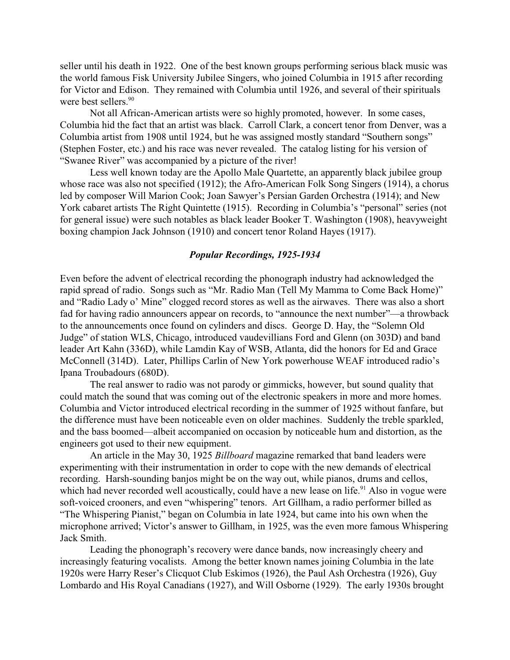seller until his death in 1922. One of the best known groups performing serious black music was the world famous Fisk University Jubilee Singers, who joined Columbia in 1915 after recording for Victor and Edison. They remained with Columbia until 1926, and several of their spirituals were best sellers. 90

Not all African-American artists were so highly promoted, however. In some cases, Columbia hid the fact that an artist was black. Carroll Clark, a concert tenor from Denver, was a Columbia artist from 1908 until 1924, but he was assigned mostly standard "Southern songs" (Stephen Foster, etc.) and his race was never revealed. The catalog listing for his version of "Swanee River" was accompanied by a picture of the river!

Less well known today are the Apollo Male Quartette, an apparently black jubilee group whose race was also not specified (1912); the Afro-American Folk Song Singers (1914), a chorus led by composer Will Marion Cook; Joan Sawyer's Persian Garden Orchestra (1914); and New York cabaret artists The Right Quintette (1915). Recording in Columbia's "personal" series (not for general issue) were such notables as black leader Booker T. Washington (1908), heavyweight boxing champion Jack Johnson (1910) and concert tenor Roland Hayes (1917).

#### *Popular Recordings, 1925-1934*

Even before the advent of electrical recording the phonograph industry had acknowledged the rapid spread of radio. Songs such as "Mr. Radio Man (Tell My Mamma to Come Back Home)" and "Radio Lady o' Mine" clogged record stores as well as the airwaves. There was also a short fad for having radio announcers appear on records, to "announce the next number"—a throwback to the announcements once found on cylinders and discs. George D. Hay, the "Solemn Old Judge" of station WLS, Chicago, introduced vaudevillians Ford and Glenn (on 303D) and band leader Art Kahn (336D), while Lamdin Kay of WSB, Atlanta, did the honors for Ed and Grace McConnell (314D). Later, Phillips Carlin of New York powerhouse WEAF introduced radio's Ipana Troubadours (680D).

The real answer to radio was not parody or gimmicks, however, but sound quality that could match the sound that was coming out of the electronic speakers in more and more homes. Columbia and Victor introduced electrical recording in the summer of 1925 without fanfare, but the difference must have been noticeable even on older machines. Suddenly the treble sparkled, and the bass boomed—albeit accompanied on occasion by noticeable hum and distortion, as the engineers got used to their new equipment.

An article in the May 30, 1925 *Billboard* magazine remarked that band leaders were experimenting with their instrumentation in order to cope with the new demands of electrical recording. Harsh-sounding banjos might be on the way out, while pianos, drums and cellos, which had never recorded well acoustically, could have a new lease on life.<sup>91</sup> Also in vogue were soft-voiced crooners, and even "whispering" tenors. Art Gillham, a radio performer billed as "The Whispering Pianist," began on Columbia in late 1924, but came into his own when the microphone arrived; Victor's answer to Gillham, in 1925, was the even more famous Whispering Jack Smith.

Leading the phonograph's recovery were dance bands, now increasingly cheery and increasingly featuring vocalists. Among the better known names joining Columbia in the late 1920s were Harry Reser's Clicquot Club Eskimos (1926), the Paul Ash Orchestra (1926), Guy Lombardo and His Royal Canadians (1927), and Will Osborne (1929). The early 1930s brought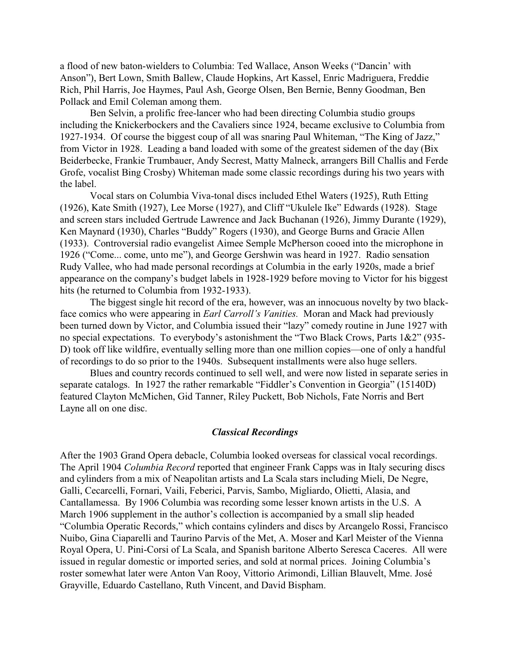a flood of new baton-wielders to Columbia: Ted Wallace, Anson Weeks ("Dancin' with Anson"), Bert Lown, Smith Ballew, Claude Hopkins, Art Kassel, Enric Madriguera, Freddie Rich, Phil Harris, Joe Haymes, Paul Ash, George Olsen, Ben Bernie, Benny Goodman, Ben Pollack and Emil Coleman among them.

Ben Selvin, a prolific free-lancer who had been directing Columbia studio groups including the Knickerbockers and the Cavaliers since 1924, became exclusive to Columbia from 1927-1934. Of course the biggest coup of all was snaring Paul Whiteman, "The King of Jazz," from Victor in 1928. Leading a band loaded with some of the greatest sidemen of the day (Bix Beiderbecke, Frankie Trumbauer, Andy Secrest, Matty Malneck, arrangers Bill Challis and Ferde Grofe, vocalist Bing Crosby) Whiteman made some classic recordings during his two years with the label.

Vocal stars on Columbia Viva-tonal discs included Ethel Waters (1925), Ruth Etting (1926), Kate Smith (1927), Lee Morse (1927), and Cliff "Ukulele Ike" Edwards (1928). Stage and screen stars included Gertrude Lawrence and Jack Buchanan (1926), Jimmy Durante (1929), Ken Maynard (1930), Charles "Buddy" Rogers (1930), and George Burns and Gracie Allen (1933). Controversial radio evangelist Aimee Semple McPherson cooed into the microphone in 1926 ("Come... come, unto me"), and George Gershwin was heard in 1927. Radio sensation Rudy Vallee, who had made personal recordings at Columbia in the early 1920s, made a brief appearance on the company's budget labels in 1928-1929 before moving to Victor for his biggest hits (he returned to Columbia from 1932-1933).

The biggest single hit record of the era, however, was an innocuous novelty by two blackface comics who were appearing in *Earl Carroll's Vanities.* Moran and Mack had previously been turned down by Victor, and Columbia issued their "lazy" comedy routine in June 1927 with no special expectations. To everybody's astonishment the "Two Black Crows, Parts 1&2" (935- D) took off like wildfire, eventually selling more than one million copies—one of only a handful of recordings to do so prior to the 1940s. Subsequent installments were also huge sellers.

Blues and country records continued to sell well, and were now listed in separate series in separate catalogs. In 1927 the rather remarkable "Fiddler's Convention in Georgia" (15140D) featured Clayton McMichen, Gid Tanner, Riley Puckett, Bob Nichols, Fate Norris and Bert Layne all on one disc.

### *Classical Recordings*

After the 1903 Grand Opera debacle, Columbia looked overseas for classical vocal recordings. The April 1904 *Columbia Record* reported that engineer Frank Capps was in Italy securing discs and cylinders from a mix of Neapolitan artists and La Scala stars including Mieli, De Negre, Galli, Cecarcelli, Fornari, Vaili, Feberici, Parvis, Sambo, Migliardo, Olietti, Alasia, and Cantallamessa. By 1906 Columbia was recording some lesser known artists in the U.S. A March 1906 supplement in the author's collection is accompanied by a small slip headed "Columbia Operatic Records," which contains cylinders and discs by Arcangelo Rossi, Francisco Nuibo, Gina Ciaparelli and Taurino Parvis of the Met, A. Moser and Karl Meister of the Vienna Royal Opera, U. Pini-Corsi of La Scala, and Spanish baritone Alberto Seresca Caceres. All were issued in regular domestic or imported series, and sold at normal prices. Joining Columbia's roster somewhat later were Anton Van Rooy, Vittorio Arimondi, Lillian Blauvelt, Mme. José Grayville, Eduardo Castellano, Ruth Vincent, and David Bispham.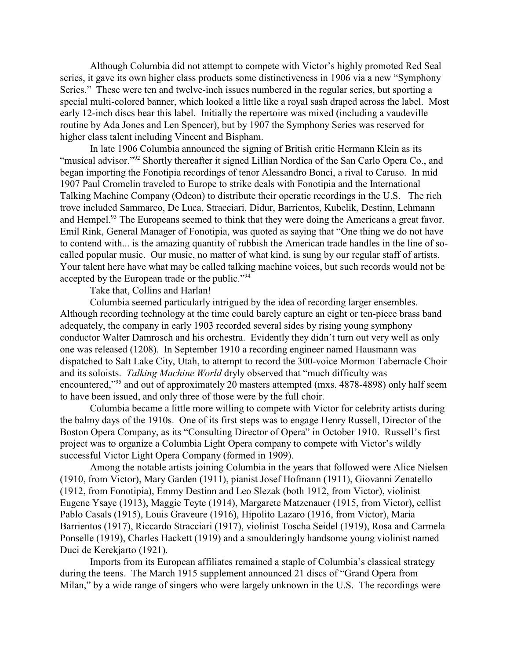Although Columbia did not attempt to compete with Victor's highly promoted Red Seal series, it gave its own higher class products some distinctiveness in 1906 via a new "Symphony Series." These were ten and twelve-inch issues numbered in the regular series, but sporting a special multi-colored banner, which looked a little like a royal sash draped across the label. Most early 12-inch discs bear this label. Initially the repertoire was mixed (including a vaudeville routine by Ada Jones and Len Spencer), but by 1907 the Symphony Series was reserved for higher class talent including Vincent and Bispham.

In late 1906 Columbia announced the signing of British critic Hermann Klein as its "musical advisor."<sup>92</sup> Shortly thereafter it signed Lillian Nordica of the San Carlo Opera Co., and began importing the Fonotipia recordings of tenor Alessandro Bonci, a rival to Caruso. In mid 1907 Paul Cromelin traveled to Europe to strike deals with Fonotipia and the International Talking Machine Company (Odeon) to distribute their operatic recordings in the U.S. The rich trove included Sammarco, De Luca, Stracciari, Didur, Barrientos, Kubelik, Destinn, Lehmann and Hempel.<sup>93</sup> The Europeans seemed to think that they were doing the Americans a great favor. Emil Rink, General Manager of Fonotipia, was quoted as saying that "One thing we do not have to contend with... is the amazing quantity of rubbish the American trade handles in the line of socalled popular music. Our music, no matter of what kind, is sung by our regular staff of artists. Your talent here have what may be called talking machine voices, but such records would not be accepted by the European trade or the public."<sup>94</sup>

Take that, Collins and Harlan!

Columbia seemed particularly intrigued by the idea of recording larger ensembles. Although recording technology at the time could barely capture an eight or ten-piece brass band adequately, the company in early 1903 recorded several sides by rising young symphony conductor Walter Damrosch and his orchestra. Evidently they didn't turn out very well as only one was released (1208). In September 1910 a recording engineer named Hausmann was dispatched to Salt Lake City, Utah, to attempt to record the 300-voice Mormon Tabernacle Choir and its soloists. *Talking Machine World* dryly observed that "much difficulty was encountered,"<sup>95</sup> and out of approximately 20 masters attempted (mxs. 4878-4898) only half seem to have been issued, and only three of those were by the full choir.

Columbia became a little more willing to compete with Victor for celebrity artists during the balmy days of the 1910s. One of its first steps was to engage Henry Russell, Director of the Boston Opera Company, as its "Consulting Director of Opera" in October 1910. Russell's first project was to organize a Columbia Light Opera company to compete with Victor's wildly successful Victor Light Opera Company (formed in 1909).

Among the notable artists joining Columbia in the years that followed were Alice Nielsen (1910, from Victor), Mary Garden (1911), pianist Josef Hofmann (1911), Giovanni Zenatello (1912, from Fonotipia), Emmy Destinn and Leo Slezak (both 1912, from Victor), violinist Eugene Ysaye (1913), Maggie Teyte (1914), Margarete Matzenauer (1915, from Victor), cellist Pablo Casals (1915), Louis Graveure (1916), Hipolito Lazaro (1916, from Victor), Maria Barrientos (1917), Riccardo Stracciari (1917), violinist Toscha Seidel (1919), Rosa and Carmela Ponselle (1919), Charles Hackett (1919) and a smoulderingly handsome young violinist named Duci de Kerekjarto (1921).

Imports from its European affiliates remained a staple of Columbia's classical strategy during the teens. The March 1915 supplement announced 21 discs of "Grand Opera from Milan," by a wide range of singers who were largely unknown in the U.S. The recordings were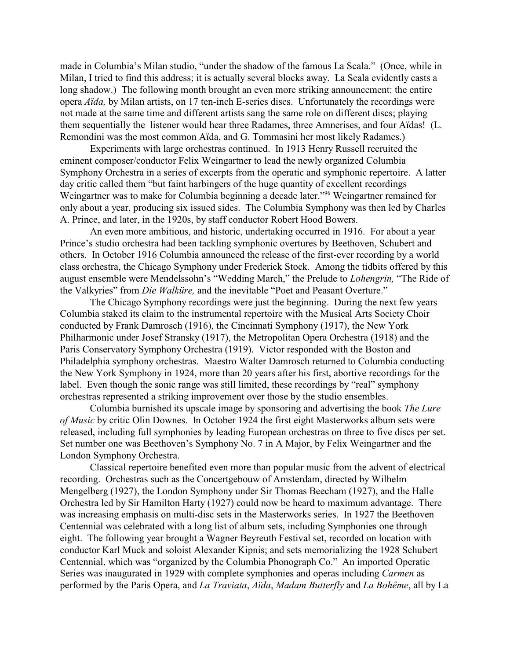made in Columbia's Milan studio, "under the shadow of the famous La Scala." (Once, while in Milan, I tried to find this address; it is actually several blocks away. La Scala evidently casts a long shadow.) The following month brought an even more striking announcement: the entire opera *Aïda,* by Milan artists, on 17 ten-inch E-series discs. Unfortunately the recordings were not made at the same time and different artists sang the same role on different discs; playing them sequentially the listener would hear three Radames, three Amnerises, and four Aïdas! (L. Remondini was the most common Aïda, and G. Tommasini her most likely Radames.)

Experiments with large orchestras continued. In 1913 Henry Russell recruited the eminent composer/conductor Felix Weingartner to lead the newly organized Columbia Symphony Orchestra in a series of excerpts from the operatic and symphonic repertoire. A latter day critic called them "but faint harbingers of the huge quantity of excellent recordings Weingartner was to make for Columbia beginning a decade later."<sup>96</sup> Weingartner remained for only about a year, producing six issued sides. The Columbia Symphony was then led by Charles A. Prince, and later, in the 1920s, by staff conductor Robert Hood Bowers.

An even more ambitious, and historic, undertaking occurred in 1916. For about a year Prince's studio orchestra had been tackling symphonic overtures by Beethoven, Schubert and others. In October 1916 Columbia announced the release of the first-ever recording by a world class orchestra, the Chicago Symphony under Frederick Stock. Among the tidbits offered by this august ensemble were Mendelssohn's "Wedding March," the Prelude to *Lohengrin,* "The Ride of the Valkyries" from *Die Walküre,* and the inevitable "Poet and Peasant Overture."

The Chicago Symphony recordings were just the beginning. During the next few years Columbia staked its claim to the instrumental repertoire with the Musical Arts Society Choir conducted by Frank Damrosch (1916), the Cincinnati Symphony (1917), the New York Philharmonic under Josef Stransky (1917), the Metropolitan Opera Orchestra (1918) and the Paris Conservatory Symphony Orchestra (1919). Victor responded with the Boston and Philadelphia symphony orchestras. Maestro Walter Damrosch returned to Columbia conducting the New York Symphony in 1924, more than 20 years after his first, abortive recordings for the label. Even though the sonic range was still limited, these recordings by "real" symphony orchestras represented a striking improvement over those by the studio ensembles.

Columbia burnished its upscale image by sponsoring and advertising the book *The Lure of Music* by critic Olin Downes. In October 1924 the first eight Masterworks album sets were released, including full symphonies by leading European orchestras on three to five discs per set. Set number one was Beethoven's Symphony No. 7 in A Major, by Felix Weingartner and the London Symphony Orchestra.

Classical repertoire benefited even more than popular music from the advent of electrical recording. Orchestras such as the Concertgebouw of Amsterdam, directed by Wilhelm Mengelberg (1927), the London Symphony under Sir Thomas Beecham (1927), and the Halle Orchestra led by Sir Hamilton Harty (1927) could now be heard to maximum advantage. There was increasing emphasis on multi-disc sets in the Masterworks series. In 1927 the Beethoven Centennial was celebrated with a long list of album sets, including Symphonies one through eight. The following year brought a Wagner Beyreuth Festival set, recorded on location with conductor Karl Muck and soloist Alexander Kipnis; and sets memorializing the 1928 Schubert Centennial, which was "organized by the Columbia Phonograph Co." An imported Operatic Series was inaugurated in 1929 with complete symphonies and operas including *Carmen* as performed by the Paris Opera, and *La Traviata*, *Aïda*, *Madam Butterfly* and *La Bohême*, all by La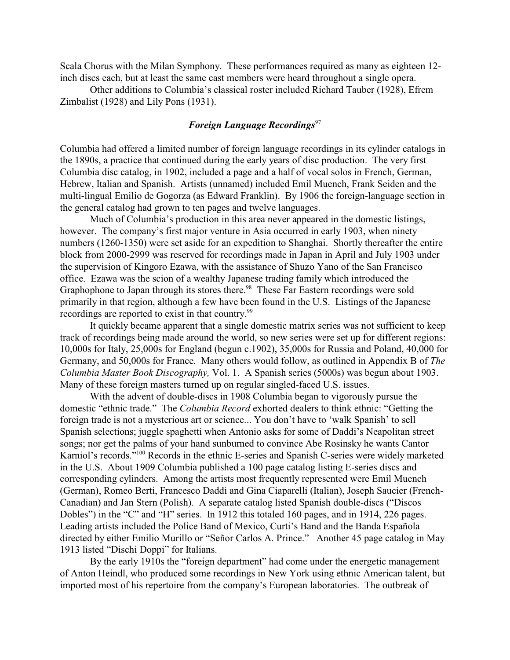Scala Chorus with the Milan Symphony. These performances required as many as eighteen 12 inch discs each, but at least the same cast members were heard throughout a single opera.

Other additions to Columbia's classical roster included Richard Tauber (1928), Efrem Zimbalist (1928) and Lily Pons (1931).

## *Foreign Language Recordings*<sup>97</sup>

Columbia had offered a limited number of foreign language recordings in its cylinder catalogs in the 1890s, a practice that continued during the early years of disc production. The very first Columbia disc catalog, in 1902, included a page and a half of vocal solos in French, German, Hebrew, Italian and Spanish. Artists (unnamed) included Emil Muench, Frank Seiden and the multi-lingual Emilio de Gogorza (as Edward Franklin). By 1906 the foreign-language section in the general catalog had grown to ten pages and twelve languages.

Much of Columbia's production in this area never appeared in the domestic listings, however. The company's first major venture in Asia occurred in early 1903, when ninety numbers (1260-1350) were set aside for an expedition to Shanghai. Shortly thereafter the entire block from 2000-2999 was reserved for recordings made in Japan in April and July 1903 under the supervision of Kingoro Ezawa, with the assistance of Shuzo Yano of the San Francisco office. Ezawa was the scion of a wealthy Japanese trading family which introduced the Graphophone to Japan through its stores there.<sup>98</sup> These Far Eastern recordings were sold primarily in that region, although a few have been found in the U.S. Listings of the Japanese recordings are reported to exist in that country.<sup>99</sup>

It quickly became apparent that a single domestic matrix series was not sufficient to keep track of recordings being made around the world, so new series were set up for different regions: 10,000s for Italy, 25,000s for England (begun c.1902), 35,000s for Russia and Poland, 40,000 for Germany, and 50,000s for France. Many others would follow, as outlined in Appendix B of *The Columbia Master Book Discography,* Vol. 1. A Spanish series (5000s) was begun about 1903. Many of these foreign masters turned up on regular singled-faced U.S. issues.

With the advent of double-discs in 1908 Columbia began to vigorously pursue the domestic "ethnic trade." The *Columbia Record* exhorted dealers to think ethnic: "Getting the foreign trade is not a mysterious art or science... You don't have to 'walk Spanish' to sell Spanish selections; juggle spaghetti when Antonio asks for some of Daddi's Neapolitan street songs; nor get the palms of your hand sunburned to convince Abe Rosinsky he wants Cantor Karniol's records."<sup>100</sup> Records in the ethnic E-series and Spanish C-series were widely marketed in the U.S. About 1909 Columbia published a 100 page catalog listing E-series discs and corresponding cylinders. Among the artists most frequently represented were Emil Muench (German), Romeo Berti, Francesco Daddi and Gina Ciaparelli (Italian), Joseph Saucier (French-Canadian) and Jan Stern (Polish). A separate catalog listed Spanish double-discs ("Discos Dobles") in the "C" and "H" series. In 1912 this totaled 160 pages, and in 1914, 226 pages. Leading artists included the Police Band of Mexico, Curti's Band and the Banda Española directed by either Emilio Murillo or "Señor Carlos A. Prince." Another 45 page catalog in May 1913 listed "Dischi Doppi" for Italians.

By the early 1910s the "foreign department" had come under the energetic management of Anton Heindl, who produced some recordings in New York using ethnic American talent, but imported most of his repertoire from the company's European laboratories. The outbreak of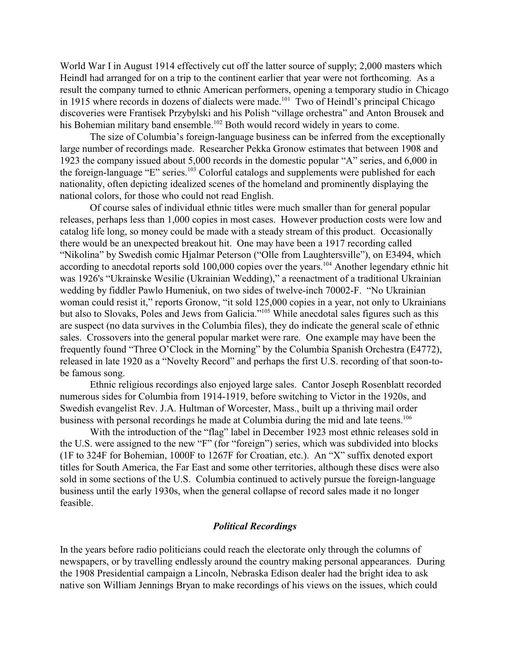World War I in August 1914 effectively cut off the latter source of supply; 2,000 masters which Heindl had arranged for on a trip to the continent earlier that year were not forthcoming. As a result the company turned to ethnic American performers, opening a temporary studio in Chicago in 1915 where records in dozens of dialects were made.<sup>101</sup> Two of Heindl's principal Chicago discoveries were Frantisek Przybylski and his Polish "village orchestra" and Anton Brousek and his Bohemian military band ensemble.<sup>102</sup> Both would record widely in years to come.

The size of Columbia's foreign-language business can be inferred from the exceptionally large number of recordings made. Researcher Pekka Gronow estimates that between 1908 and 1923 the company issued about 5,000 records in the domestic popular "A" series, and 6,000 in the foreign-language "E" series.<sup>103</sup> Colorful catalogs and supplements were published for each nationality, often depicting idealized scenes of the homeland and prominently displaying the national colors, for those who could not read English.

Of course sales of individual ethnic titles were much smaller than for general popular releases, perhaps less than 1,000 copies in most cases. However production costs were low and catalog life long, so money could be made with a steady stream of this product. Occasionally there would be an unexpected breakout hit. One may have been a 1917 recording called "Nikolina" by Swedish comic Hjalmar Peterson ("Olle from Laughtersville"), on E3494, which according to anecdotal reports sold 100,000 copies over the years.<sup>104</sup> Another legendary ethnic hit was 1926's "Ukrainske Wesilie (Ukrainian Wedding)," a reenactment of a traditional Ukrainian wedding by fiddler Pawlo Humeniuk, on two sides of twelve-inch 70002-F. "No Ukrainian woman could resist it," reports Gronow, "it sold 125,000 copies in a year, not only to Ukrainians but also to Slovaks, Poles and Jews from Galicia."<sup>105</sup> While anecdotal sales figures such as this are suspect (no data survives in the Columbia files), they do indicate the general scale of ethnic sales. Crossovers into the general popular market were rare. One example may have been the frequently found "Three O'Clock in the Morning" by the Columbia Spanish Orchestra (E4772), released in late 1920 as a "Novelty Record" and perhaps the first U.S. recording of that soon-tobe famous song.

Ethnic religious recordings also enjoyed large sales. Cantor Joseph Rosenblatt recorded numerous sides for Columbia from 1914-1919, before switching to Victor in the 1920s, and Swedish evangelist Rev. J.A. Hultman of Worcester, Mass., built up a thriving mail order business with personal recordings he made at Columbia during the mid and late teens.<sup>106</sup>

With the introduction of the "flag" label in December 1923 most ethnic releases sold in the U.S. were assigned to the new "F" (for "foreign") series, which was subdivided into blocks (1F to 324F for Bohemian, 1000F to 1267F for Croatian, etc.). An "X" suffix denoted export titles for South America, the Far East and some other territories, although these discs were also sold in some sections of the U.S. Columbia continued to actively pursue the foreign-language business until the early 1930s, when the general collapse of record sales made it no longer feasible.

#### *Political Recordings*

In the years before radio politicians could reach the electorate only through the columns of newspapers, or by travelling endlessly around the country making personal appearances. During the 1908 Presidential campaign a Lincoln, Nebraska Edison dealer had the bright idea to ask native son William Jennings Bryan to make recordings of his views on the issues, which could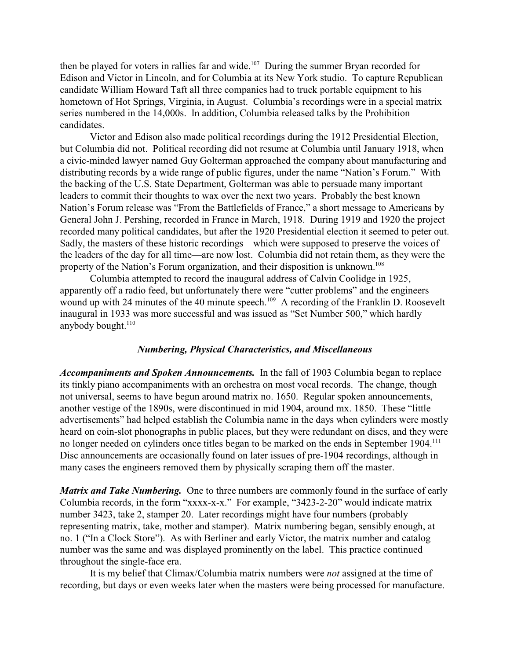then be played for voters in rallies far and wide.<sup>107</sup> During the summer Bryan recorded for Edison and Victor in Lincoln, and for Columbia at its New York studio. To capture Republican candidate William Howard Taft all three companies had to truck portable equipment to his hometown of Hot Springs, Virginia, in August. Columbia's recordings were in a special matrix series numbered in the 14,000s. In addition, Columbia released talks by the Prohibition candidates.

Victor and Edison also made political recordings during the 1912 Presidential Election, but Columbia did not. Political recording did not resume at Columbia until January 1918, when a civic-minded lawyer named Guy Golterman approached the company about manufacturing and distributing records by a wide range of public figures, under the name "Nation's Forum." With the backing of the U.S. State Department, Golterman was able to persuade many important leaders to commit their thoughts to wax over the next two years. Probably the best known Nation's Forum release was "From the Battlefields of France," a short message to Americans by General John J. Pershing, recorded in France in March, 1918. During 1919 and 1920 the project recorded many political candidates, but after the 1920 Presidential election it seemed to peter out. Sadly, the masters of these historic recordings—which were supposed to preserve the voices of the leaders of the day for all time—are now lost. Columbia did not retain them, as they were the property of the Nation's Forum organization, and their disposition is unknown.<sup>108</sup>

Columbia attempted to record the inaugural address of Calvin Coolidge in 1925, apparently off a radio feed, but unfortunately there were "cutter problems" and the engineers wound up with 24 minutes of the 40 minute speech.<sup>109</sup> A recording of the Franklin D. Roosevelt inaugural in 1933 was more successful and was issued as "Set Number 500," which hardly anybody bought.<sup>110</sup>

### *Numbering, Physical Characteristics, and Miscellaneous*

*Accompaniments and Spoken Announcements.* In the fall of 1903 Columbia began to replace its tinkly piano accompaniments with an orchestra on most vocal records. The change, though not universal, seems to have begun around matrix no. 1650. Regular spoken announcements, another vestige of the 1890s, were discontinued in mid 1904, around mx. 1850. These "little advertisements" had helped establish the Columbia name in the days when cylinders were mostly heard on coin-slot phonographs in public places, but they were redundant on discs, and they were no longer needed on cylinders once titles began to be marked on the ends in September 1904.<sup>111</sup> Disc announcements are occasionally found on later issues of pre-1904 recordings, although in many cases the engineers removed them by physically scraping them off the master.

*Matrix and Take Numbering.* One to three numbers are commonly found in the surface of early Columbia records, in the form "xxxx-x-x." For example, "3423-2-20" would indicate matrix number 3423, take 2, stamper 20. Later recordings might have four numbers (probably representing matrix, take, mother and stamper). Matrix numbering began, sensibly enough, at no. 1 ("In a Clock Store"). As with Berliner and early Victor, the matrix number and catalog number was the same and was displayed prominently on the label. This practice continued throughout the single-face era.

It is my belief that Climax/Columbia matrix numbers were *not* assigned at the time of recording, but days or even weeks later when the masters were being processed for manufacture.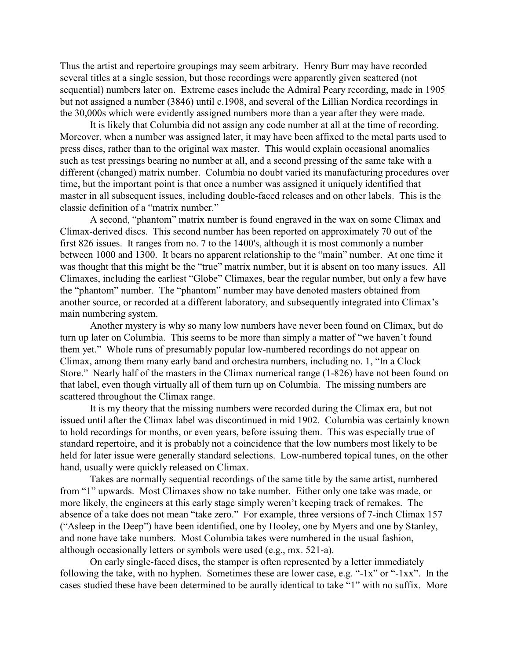Thus the artist and repertoire groupings may seem arbitrary. Henry Burr may have recorded several titles at a single session, but those recordings were apparently given scattered (not sequential) numbers later on. Extreme cases include the Admiral Peary recording, made in 1905 but not assigned a number (3846) until c.1908, and several of the Lillian Nordica recordings in the 30,000s which were evidently assigned numbers more than a year after they were made.

It is likely that Columbia did not assign any code number at all at the time of recording. Moreover, when a number was assigned later, it may have been affixed to the metal parts used to press discs, rather than to the original wax master. This would explain occasional anomalies such as test pressings bearing no number at all, and a second pressing of the same take with a different (changed) matrix number. Columbia no doubt varied its manufacturing procedures over time, but the important point is that once a number was assigned it uniquely identified that master in all subsequent issues, including double-faced releases and on other labels. This is the classic definition of a "matrix number."

A second, "phantom" matrix number is found engraved in the wax on some Climax and Climax-derived discs. This second number has been reported on approximately 70 out of the first 826 issues. It ranges from no. 7 to the 1400's, although it is most commonly a number between 1000 and 1300. It bears no apparent relationship to the "main" number. At one time it was thought that this might be the "true" matrix number, but it is absent on too many issues. All Climaxes, including the earliest "Globe" Climaxes, bear the regular number, but only a few have the "phantom" number. The "phantom" number may have denoted masters obtained from another source, or recorded at a different laboratory, and subsequently integrated into Climax's main numbering system.

Another mystery is why so many low numbers have never been found on Climax, but do turn up later on Columbia. This seems to be more than simply a matter of "we haven't found them yet." Whole runs of presumably popular low-numbered recordings do not appear on Climax, among them many early band and orchestra numbers, including no. 1, "In a Clock Store." Nearly half of the masters in the Climax numerical range (1-826) have not been found on that label, even though virtually all of them turn up on Columbia. The missing numbers are scattered throughout the Climax range.

It is my theory that the missing numbers were recorded during the Climax era, but not issued until after the Climax label was discontinued in mid 1902. Columbia was certainly known to hold recordings for months, or even years, before issuing them. This was especially true of standard repertoire, and it is probably not a coincidence that the low numbers most likely to be held for later issue were generally standard selections. Low-numbered topical tunes, on the other hand, usually were quickly released on Climax.

Takes are normally sequential recordings of the same title by the same artist, numbered from "1" upwards. Most Climaxes show no take number. Either only one take was made, or more likely, the engineers at this early stage simply weren't keeping track of remakes. The absence of a take does not mean "take zero." For example, three versions of 7-inch Climax 157 ("Asleep in the Deep") have been identified, one by Hooley, one by Myers and one by Stanley, and none have take numbers. Most Columbia takes were numbered in the usual fashion, although occasionally letters or symbols were used (e.g., mx. 521-a).

On early single-faced discs, the stamper is often represented by a letter immediately following the take, with no hyphen. Sometimes these are lower case, e.g. "-1x" or "-1xx". In the cases studied these have been determined to be aurally identical to take "1" with no suffix. More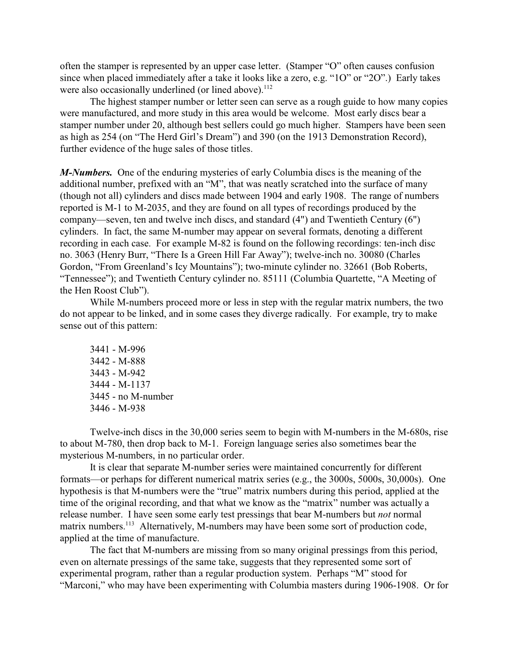often the stamper is represented by an upper case letter. (Stamper "O" often causes confusion since when placed immediately after a take it looks like a zero, e.g. "1O" or "2O".) Early takes were also occasionally underlined (or lined above).<sup>112</sup>

The highest stamper number or letter seen can serve as a rough guide to how many copies were manufactured, and more study in this area would be welcome. Most early discs bear a stamper number under 20, although best sellers could go much higher. Stampers have been seen as high as 254 (on "The Herd Girl's Dream") and 390 (on the 1913 Demonstration Record), further evidence of the huge sales of those titles.

*M-Numbers.* One of the enduring mysteries of early Columbia discs is the meaning of the additional number, prefixed with an "M", that was neatly scratched into the surface of many (though not all) cylinders and discs made between 1904 and early 1908. The range of numbers reported is M-1 to M-2035, and they are found on all types of recordings produced by the company—seven, ten and twelve inch discs, and standard (4") and Twentieth Century (6") cylinders. In fact, the same M-number may appear on several formats, denoting a different recording in each case. For example M-82 is found on the following recordings: ten-inch disc no. 3063 (Henry Burr, "There Is a Green Hill Far Away"); twelve-inch no. 30080 (Charles Gordon, "From Greenland's Icy Mountains"); two-minute cylinder no. 32661 (Bob Roberts, "Tennessee"); and Twentieth Century cylinder no. 85111 (Columbia Quartette, "A Meeting of the Hen Roost Club").

While M-numbers proceed more or less in step with the regular matrix numbers, the two do not appear to be linked, and in some cases they diverge radically. For example, try to make sense out of this pattern:

3441 - M-996 3442 - M-888 3443 - M-942 3444 - M-1137 3445 - no M-number 3446 - M-938

Twelve-inch discs in the 30,000 series seem to begin with M-numbers in the M-680s, rise to about M-780, then drop back to M-1. Foreign language series also sometimes bear the mysterious M-numbers, in no particular order.

It is clear that separate M-number series were maintained concurrently for different formats—or perhaps for different numerical matrix series (e.g., the 3000s, 5000s, 30,000s). One hypothesis is that M-numbers were the "true" matrix numbers during this period, applied at the time of the original recording, and that what we know as the "matrix" number was actually a release number. I have seen some early test pressings that bear M-numbers but *not* normal matrix numbers.<sup>113</sup> Alternatively, M-numbers may have been some sort of production code, applied at the time of manufacture.

The fact that M-numbers are missing from so many original pressings from this period, even on alternate pressings of the same take, suggests that they represented some sort of experimental program, rather than a regular production system. Perhaps "M" stood for "Marconi," who may have been experimenting with Columbia masters during 1906-1908. Or for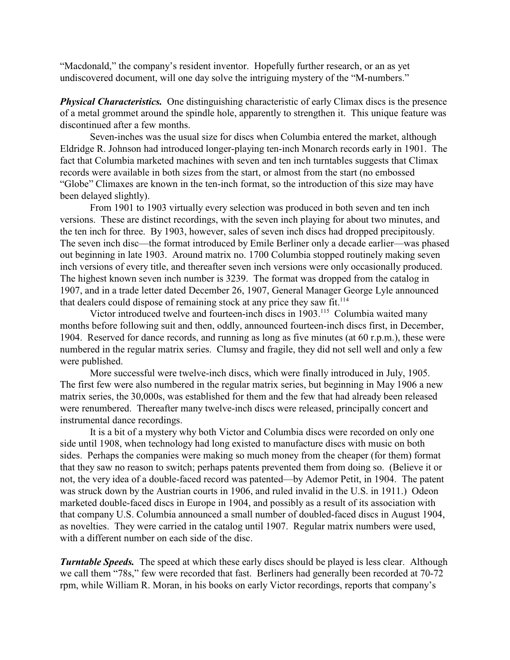"Macdonald," the company's resident inventor. Hopefully further research, or an as yet undiscovered document, will one day solve the intriguing mystery of the "M-numbers."

*Physical Characteristics.* One distinguishing characteristic of early Climax discs is the presence of a metal grommet around the spindle hole, apparently to strengthen it. This unique feature was discontinued after a few months.

Seven-inches was the usual size for discs when Columbia entered the market, although Eldridge R. Johnson had introduced longer-playing ten-inch Monarch records early in 1901. The fact that Columbia marketed machines with seven and ten inch turntables suggests that Climax records were available in both sizes from the start, or almost from the start (no embossed "Globe" Climaxes are known in the ten-inch format, so the introduction of this size may have been delayed slightly).

From 1901 to 1903 virtually every selection was produced in both seven and ten inch versions. These are distinct recordings, with the seven inch playing for about two minutes, and the ten inch for three. By 1903, however, sales of seven inch discs had dropped precipitously. The seven inch disc—the format introduced by Emile Berliner only a decade earlier—was phased out beginning in late 1903. Around matrix no. 1700 Columbia stopped routinely making seven inch versions of every title, and thereafter seven inch versions were only occasionally produced. The highest known seven inch number is 3239. The format was dropped from the catalog in 1907, and in a trade letter dated December 26, 1907, General Manager George Lyle announced that dealers could dispose of remaining stock at any price they saw fit.<sup>114</sup>

Victor introduced twelve and fourteen-inch discs in 1903.<sup>115</sup> Columbia waited many months before following suit and then, oddly, announced fourteen-inch discs first, in December, 1904. Reserved for dance records, and running as long as five minutes (at 60 r.p.m.), these were numbered in the regular matrix series. Clumsy and fragile, they did not sell well and only a few were published.

More successful were twelve-inch discs, which were finally introduced in July, 1905. The first few were also numbered in the regular matrix series, but beginning in May 1906 a new matrix series, the 30,000s, was established for them and the few that had already been released were renumbered. Thereafter many twelve-inch discs were released, principally concert and instrumental dance recordings.

It is a bit of a mystery why both Victor and Columbia discs were recorded on only one side until 1908, when technology had long existed to manufacture discs with music on both sides. Perhaps the companies were making so much money from the cheaper (for them) format that they saw no reason to switch; perhaps patents prevented them from doing so. (Believe it or not, the very idea of a double-faced record was patented—by Ademor Petit, in 1904. The patent was struck down by the Austrian courts in 1906, and ruled invalid in the U.S. in 1911.) Odeon marketed double-faced discs in Europe in 1904, and possibly as a result of its association with that company U.S. Columbia announced a small number of doubled-faced discs in August 1904, as novelties. They were carried in the catalog until 1907. Regular matrix numbers were used, with a different number on each side of the disc.

*Turntable Speeds.* The speed at which these early discs should be played is less clear. Although we call them "78s," few were recorded that fast. Berliners had generally been recorded at 70-72 rpm, while William R. Moran, in his books on early Victor recordings, reports that company's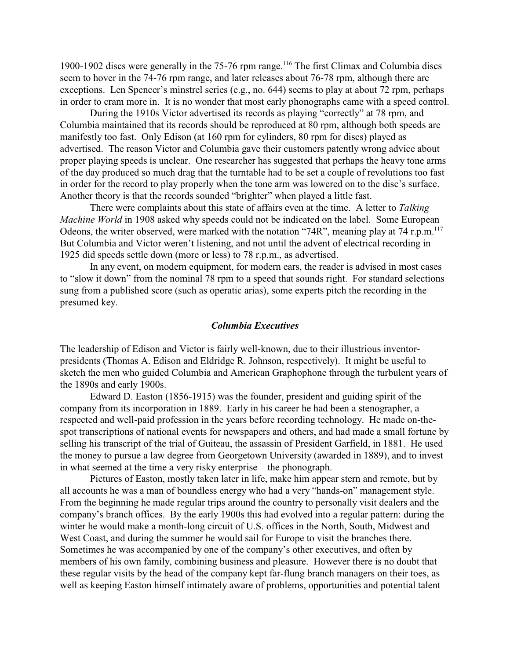1900-1902 discs were generally in the 75-76 rpm range.<sup>116</sup> The first Climax and Columbia discs seem to hover in the 74-76 rpm range, and later releases about 76-78 rpm, although there are exceptions. Len Spencer's minstrel series (e.g., no. 644) seems to play at about 72 rpm, perhaps in order to cram more in. It is no wonder that most early phonographs came with a speed control.

During the 1910s Victor advertised its records as playing "correctly" at 78 rpm, and Columbia maintained that its records should be reproduced at 80 rpm, although both speeds are manifestly too fast. Only Edison (at 160 rpm for cylinders, 80 rpm for discs) played as advertised. The reason Victor and Columbia gave their customers patently wrong advice about proper playing speeds is unclear. One researcher has suggested that perhaps the heavy tone arms of the day produced so much drag that the turntable had to be set a couple of revolutions too fast in order for the record to play properly when the tone arm was lowered on to the disc's surface. Another theory is that the records sounded "brighter" when played a little fast.

There were complaints about this state of affairs even at the time. A letter to *Talking Machine World* in 1908 asked why speeds could not be indicated on the label. Some European Odeons, the writer observed, were marked with the notation "74R", meaning play at 74 r.p.m.<sup>117</sup> But Columbia and Victor weren't listening, and not until the advent of electrical recording in 1925 did speeds settle down (more or less) to 78 r.p.m., as advertised.

In any event, on modern equipment, for modern ears, the reader is advised in most cases to "slow it down" from the nominal 78 rpm to a speed that sounds right. For standard selections sung from a published score (such as operatic arias), some experts pitch the recording in the presumed key.

#### *Columbia Executives*

The leadership of Edison and Victor is fairly well-known, due to their illustrious inventorpresidents (Thomas A. Edison and Eldridge R. Johnson, respectively). It might be useful to sketch the men who guided Columbia and American Graphophone through the turbulent years of the 1890s and early 1900s.

Edward D. Easton (1856-1915) was the founder, president and guiding spirit of the company from its incorporation in 1889. Early in his career he had been a stenographer, a respected and well-paid profession in the years before recording technology. He made on-thespot transcriptions of national events for newspapers and others, and had made a small fortune by selling his transcript of the trial of Guiteau, the assassin of President Garfield, in 1881. He used the money to pursue a law degree from Georgetown University (awarded in 1889), and to invest in what seemed at the time a very risky enterprise—the phonograph.

Pictures of Easton, mostly taken later in life, make him appear stern and remote, but by all accounts he was a man of boundless energy who had a very "hands-on" management style. From the beginning he made regular trips around the country to personally visit dealers and the company's branch offices. By the early 1900s this had evolved into a regular pattern: during the winter he would make a month-long circuit of U.S. offices in the North, South, Midwest and West Coast, and during the summer he would sail for Europe to visit the branches there. Sometimes he was accompanied by one of the company's other executives, and often by members of his own family, combining business and pleasure. However there is no doubt that these regular visits by the head of the company kept far-flung branch managers on their toes, as well as keeping Easton himself intimately aware of problems, opportunities and potential talent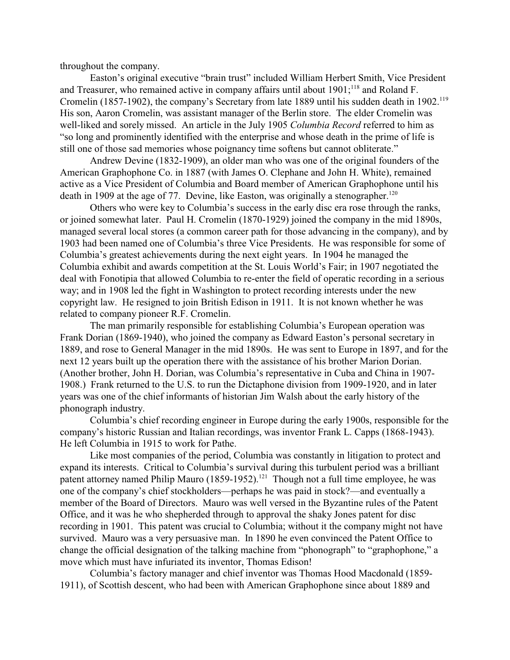throughout the company.

Easton's original executive "brain trust" included William Herbert Smith, Vice President and Treasurer, who remained active in company affairs until about  $1901$ ;  $^{118}$  and Roland F. Cromelin (1857-1902), the company's Secretary from late 1889 until his sudden death in 1902.<sup>119</sup> His son, Aaron Cromelin, was assistant manager of the Berlin store. The elder Cromelin was well-liked and sorely missed. An article in the July 1905 *Columbia Record* referred to him as "so long and prominently identified with the enterprise and whose death in the prime of life is still one of those sad memories whose poignancy time softens but cannot obliterate."

Andrew Devine (1832-1909), an older man who was one of the original founders of the American Graphophone Co. in 1887 (with James O. Clephane and John H. White), remained active as a Vice President of Columbia and Board member of American Graphophone until his death in 1909 at the age of 77. Devine, like Easton, was originally a stenographer.<sup>120</sup>

Others who were key to Columbia's success in the early disc era rose through the ranks, or joined somewhat later. Paul H. Cromelin (1870-1929) joined the company in the mid 1890s, managed several local stores (a common career path for those advancing in the company), and by 1903 had been named one of Columbia's three Vice Presidents. He was responsible for some of Columbia's greatest achievements during the next eight years. In 1904 he managed the Columbia exhibit and awards competition at the St. Louis World's Fair; in 1907 negotiated the deal with Fonotipia that allowed Columbia to re-enter the field of operatic recording in a serious way; and in 1908 led the fight in Washington to protect recording interests under the new copyright law. He resigned to join British Edison in 1911. It is not known whether he was related to company pioneer R.F. Cromelin.

The man primarily responsible for establishing Columbia's European operation was Frank Dorian (1869-1940), who joined the company as Edward Easton's personal secretary in 1889, and rose to General Manager in the mid 1890s. He was sent to Europe in 1897, and for the next 12 years built up the operation there with the assistance of his brother Marion Dorian. (Another brother, John H. Dorian, was Columbia's representative in Cuba and China in 1907- 1908.) Frank returned to the U.S. to run the Dictaphone division from 1909-1920, and in later years was one of the chief informants of historian Jim Walsh about the early history of the phonograph industry.

Columbia's chief recording engineer in Europe during the early 1900s, responsible for the company's historic Russian and Italian recordings, was inventor Frank L. Capps (1868-1943). He left Columbia in 1915 to work for Pathe.

Like most companies of the period, Columbia was constantly in litigation to protect and expand its interests. Critical to Columbia's survival during this turbulent period was a brilliant patent attorney named Philip Mauro (1859-1952).<sup>121</sup> Though not a full time employee, he was one of the company's chief stockholders—perhaps he was paid in stock?—and eventually a member of the Board of Directors. Mauro was well versed in the Byzantine rules of the Patent Office, and it was he who shepherded through to approval the shaky Jones patent for disc recording in 1901. This patent was crucial to Columbia; without it the company might not have survived. Mauro was a very persuasive man. In 1890 he even convinced the Patent Office to change the official designation of the talking machine from "phonograph" to "graphophone," a move which must have infuriated its inventor, Thomas Edison!

Columbia's factory manager and chief inventor was Thomas Hood Macdonald (1859- 1911), of Scottish descent, who had been with American Graphophone since about 1889 and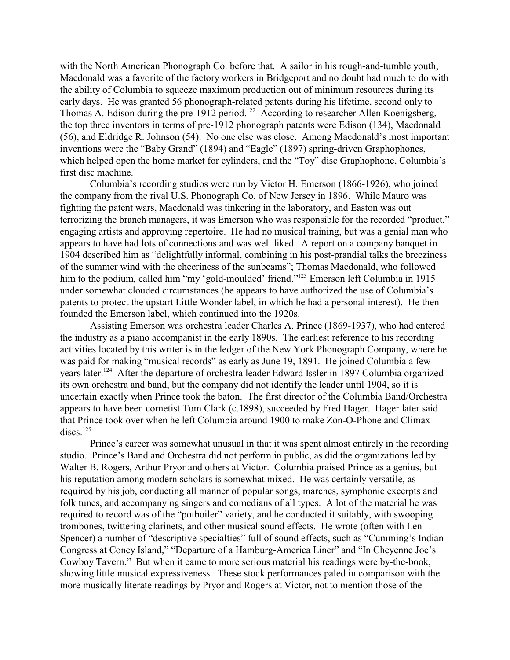with the North American Phonograph Co. before that. A sailor in his rough-and-tumble youth, Macdonald was a favorite of the factory workers in Bridgeport and no doubt had much to do with the ability of Columbia to squeeze maximum production out of minimum resources during its early days. He was granted 56 phonograph-related patents during his lifetime, second only to Thomas A. Edison during the pre-1912 period.<sup>122</sup> According to researcher Allen Koenigsberg, the top three inventors in terms of pre-1912 phonograph patents were Edison (134), Macdonald (56), and Eldridge R. Johnson (54). No one else was close. Among Macdonald's most important inventions were the "Baby Grand" (1894) and "Eagle" (1897) spring-driven Graphophones, which helped open the home market for cylinders, and the "Toy" disc Graphophone, Columbia's first disc machine.

Columbia's recording studios were run by Victor H. Emerson (1866-1926), who joined the company from the rival U.S. Phonograph Co. of New Jersey in 1896. While Mauro was fighting the patent wars, Macdonald was tinkering in the laboratory, and Easton was out terrorizing the branch managers, it was Emerson who was responsible for the recorded "product," engaging artists and approving repertoire. He had no musical training, but was a genial man who appears to have had lots of connections and was well liked. A report on a company banquet in 1904 described him as "delightfully informal, combining in his post-prandial talks the breeziness of the summer wind with the cheeriness of the sunbeams"; Thomas Macdonald, who followed him to the podium, called him "my 'gold-moulded' friend."<sup>123</sup> Emerson left Columbia in 1915 under somewhat clouded circumstances (he appears to have authorized the use of Columbia's patents to protect the upstart Little Wonder label, in which he had a personal interest). He then founded the Emerson label, which continued into the 1920s.

Assisting Emerson was orchestra leader Charles A. Prince (1869-1937), who had entered the industry as a piano accompanist in the early 1890s. The earliest reference to his recording activities located by this writer is in the ledger of the New York Phonograph Company, where he was paid for making "musical records" as early as June 19, 1891. He joined Columbia a few years later.<sup>124</sup> After the departure of orchestra leader Edward Issler in 1897 Columbia organized its own orchestra and band, but the company did not identify the leader until 1904, so it is uncertain exactly when Prince took the baton. The first director of the Columbia Band/Orchestra appears to have been cornetist Tom Clark (c.1898), succeeded by Fred Hager. Hager later said that Prince took over when he left Columbia around 1900 to make Zon-O-Phone and Climax  $discs.<sup>125</sup>$ 

Prince's career was somewhat unusual in that it was spent almost entirely in the recording studio. Prince's Band and Orchestra did not perform in public, as did the organizations led by Walter B. Rogers, Arthur Pryor and others at Victor. Columbia praised Prince as a genius, but his reputation among modern scholars is somewhat mixed. He was certainly versatile, as required by his job, conducting all manner of popular songs, marches, symphonic excerpts and folk tunes, and accompanying singers and comedians of all types. A lot of the material he was required to record was of the "potboiler" variety, and he conducted it suitably, with swooping trombones, twittering clarinets, and other musical sound effects. He wrote (often with Len Spencer) a number of "descriptive specialties" full of sound effects, such as "Cumming's Indian Congress at Coney Island," "Departure of a Hamburg-America Liner" and "In Cheyenne Joe's Cowboy Tavern." But when it came to more serious material his readings were by-the-book, showing little musical expressiveness. These stock performances paled in comparison with the more musically literate readings by Pryor and Rogers at Victor, not to mention those of the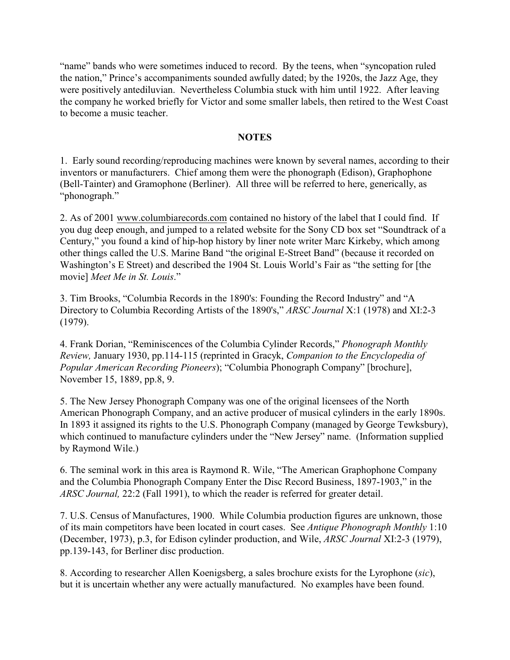"name" bands who were sometimes induced to record. By the teens, when "syncopation ruled the nation," Prince's accompaniments sounded awfully dated; by the 1920s, the Jazz Age, they were positively antediluvian. Nevertheless Columbia stuck with him until 1922. After leaving the company he worked briefly for Victor and some smaller labels, then retired to the West Coast to become a music teacher.

### **NOTES**

1. Early sound recording/reproducing machines were known by several names, according to their inventors or manufacturers. Chief among them were the phonograph (Edison), Graphophone (Bell-Tainter) and Gramophone (Berliner). All three will be referred to here, generically, as "phonograph."

2. As of 2001 [www.columbiarecords.com](http://www.columbiarecords.com) contained no history of the label that I could find. If you dug deep enough, and jumped to a related website for the Sony CD box set "Soundtrack of a Century," you found a kind of hip-hop history by liner note writer Marc Kirkeby, which among other things called the U.S. Marine Band "the original E-Street Band" (because it recorded on Washington's E Street) and described the 1904 St. Louis World's Fair as "the setting for [the movie] *Meet Me in St. Louis*."

3. Tim Brooks, "Columbia Records in the 1890's: Founding the Record Industry" and "A Directory to Columbia Recording Artists of the 1890's," *ARSC Journal* X:1 (1978) and XI:2-3 (1979).

4. Frank Dorian, "Reminiscences of the Columbia Cylinder Records," *Phonograph Monthly Review,* January 1930, pp.114-115 (reprinted in Gracyk, *Companion to the Encyclopedia of Popular American Recording Pioneers*); "Columbia Phonograph Company" [brochure], November 15, 1889, pp.8, 9.

5. The New Jersey Phonograph Company was one of the original licensees of the North American Phonograph Company, and an active producer of musical cylinders in the early 1890s. In 1893 it assigned its rights to the U.S. Phonograph Company (managed by George Tewksbury), which continued to manufacture cylinders under the "New Jersey" name. (Information supplied by Raymond Wile.)

6. The seminal work in this area is Raymond R. Wile, "The American Graphophone Company and the Columbia Phonograph Company Enter the Disc Record Business, 1897-1903," in the *ARSC Journal,* 22:2 (Fall 1991), to which the reader is referred for greater detail.

7. U.S. Census of Manufactures, 1900. While Columbia production figures are unknown, those of its main competitors have been located in court cases. See *Antique Phonograph Monthly* 1:10 (December, 1973), p.3, for Edison cylinder production, and Wile, *ARSC Journal* XI:2-3 (1979), pp.139-143, for Berliner disc production.

8. According to researcher Allen Koenigsberg, a sales brochure exists for the Lyrophone (*sic*), but it is uncertain whether any were actually manufactured. No examples have been found.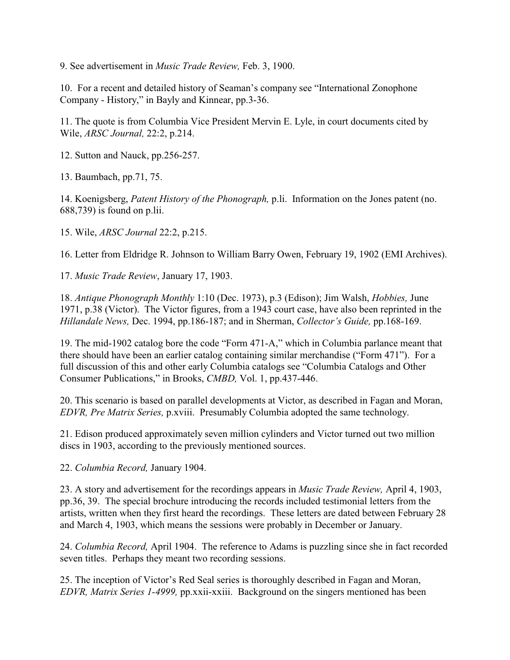9. See advertisement in *Music Trade Review,* Feb. 3, 1900.

10. For a recent and detailed history of Seaman's company see "International Zonophone Company - History," in Bayly and Kinnear, pp.3-36.

11. The quote is from Columbia Vice President Mervin E. Lyle, in court documents cited by Wile, *ARSC Journal,* 22:2, p.214.

12. Sutton and Nauck, pp.256-257.

13. Baumbach, pp.71, 75.

14. Koenigsberg, *Patent History of the Phonograph,* p.li. Information on the Jones patent (no. 688,739) is found on p.lii.

15. Wile, *ARSC Journal* 22:2, p.215.

16. Letter from Eldridge R. Johnson to William Barry Owen, February 19, 1902 (EMI Archives).

17. *Music Trade Review*, January 17, 1903.

18. *Antique Phonograph Monthly* 1:10 (Dec. 1973), p.3 (Edison); Jim Walsh, *Hobbies,* June 1971, p.38 (Victor). The Victor figures, from a 1943 court case, have also been reprinted in the *Hillandale News,* Dec. 1994, pp.186-187; and in Sherman, *Collector's Guide,* pp.168-169.

19. The mid-1902 catalog bore the code "Form 471-A," which in Columbia parlance meant that there should have been an earlier catalog containing similar merchandise ("Form 471"). For a full discussion of this and other early Columbia catalogs see "Columbia Catalogs and Other Consumer Publications," in Brooks, *CMBD,* Vol. 1, pp.437-446.

20. This scenario is based on parallel developments at Victor, as described in Fagan and Moran, *EDVR, Pre Matrix Series,* p.xviii. Presumably Columbia adopted the same technology.

21. Edison produced approximately seven million cylinders and Victor turned out two million discs in 1903, according to the previously mentioned sources.

22. *Columbia Record,* January 1904.

23. A story and advertisement for the recordings appears in *Music Trade Review,* April 4, 1903, pp.36, 39. The special brochure introducing the records included testimonial letters from the artists, written when they first heard the recordings. These letters are dated between February 28 and March 4, 1903, which means the sessions were probably in December or January.

24. *Columbia Record,* April 1904. The reference to Adams is puzzling since she in fact recorded seven titles. Perhaps they meant two recording sessions.

25. The inception of Victor's Red Seal series is thoroughly described in Fagan and Moran, *EDVR, Matrix Series 1-4999,* pp.xxii-xxiii. Background on the singers mentioned has been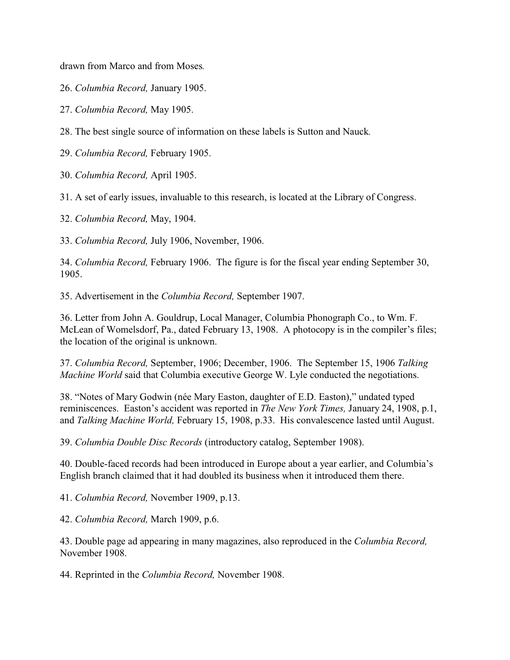drawn from Marco and from Moses*.*

26. *Columbia Record,* January 1905.

27. *Columbia Record,* May 1905.

28. The best single source of information on these labels is Sutton and Nauck*.*

29. *Columbia Record,* February 1905.

30. *Columbia Record,* April 1905.

31. A set of early issues, invaluable to this research, is located at the Library of Congress.

32. *Columbia Record,* May, 1904.

33. *Columbia Record,* July 1906, November, 1906.

34. *Columbia Record,* February 1906. The figure is for the fiscal year ending September 30, 1905.

35. Advertisement in the *Columbia Record,* September 1907.

36. Letter from John A. Gouldrup, Local Manager, Columbia Phonograph Co., to Wm. F. McLean of Womelsdorf, Pa., dated February 13, 1908. A photocopy is in the compiler's files; the location of the original is unknown.

37. *Columbia Record,* September, 1906; December, 1906. The September 15, 1906 *Talking Machine World* said that Columbia executive George W. Lyle conducted the negotiations.

38. "Notes of Mary Godwin (née Mary Easton, daughter of E.D. Easton)," undated typed reminiscences. Easton's accident was reported in *The New York Times,* January 24, 1908, p.1, and *Talking Machine World,* February 15, 1908, p.33. His convalescence lasted until August.

39. *Columbia Double Disc Records* (introductory catalog, September 1908).

40. Double-faced records had been introduced in Europe about a year earlier, and Columbia's English branch claimed that it had doubled its business when it introduced them there.

41. *Columbia Record,* November 1909, p.13.

42. *Columbia Record,* March 1909, p.6.

43. Double page ad appearing in many magazines, also reproduced in the *Columbia Record,* November 1908.

44. Reprinted in the *Columbia Record,* November 1908.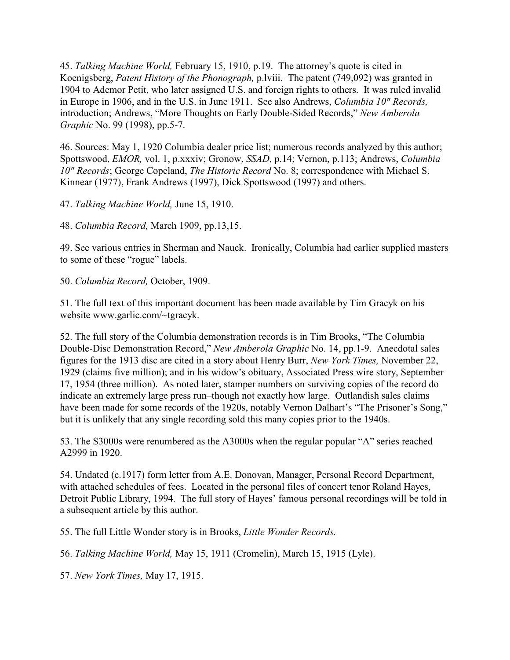45. *Talking Machine World,* February 15, 1910, p.19. The attorney's quote is cited in Koenigsberg, *Patent History of the Phonograph,* p.lviii. The patent (749,092) was granted in 1904 to Ademor Petit, who later assigned U.S. and foreign rights to others. It was ruled invalid in Europe in 1906, and in the U.S. in June 1911. See also Andrews, *Columbia 10" Records,* introduction; Andrews, "More Thoughts on Early Double-Sided Records," *New Amberola Graphic* No. 99 (1998), pp.5-7.

46. Sources: May 1, 1920 Columbia dealer price list; numerous records analyzed by this author; Spottswood, *EMOR,* vol. 1, p.xxxiv; Gronow, *SSAD,* p.14; Vernon, p.113; Andrews, *Columbia 10" Records*; George Copeland, *The Historic Record* No. 8; correspondence with Michael S. Kinnear (1977), Frank Andrews (1997), Dick Spottswood (1997) and others.

47. *Talking Machine World,* June 15, 1910.

48. *Columbia Record,* March 1909, pp.13,15.

49. See various entries in Sherman and Nauck. Ironically, Columbia had earlier supplied masters to some of these "rogue" labels.

50. *Columbia Record,* October, 1909.

51. The full text of this important document has been made available by Tim Gracyk on his website www.garlic.com/~tgracyk.

52. The full story of the Columbia demonstration records is in Tim Brooks, "The Columbia Double-Disc Demonstration Record," *New Amberola Graphic* No. 14, pp.1-9. Anecdotal sales figures for the 1913 disc are cited in a story about Henry Burr, *New York Times,* November 22, 1929 (claims five million); and in his widow's obituary, Associated Press wire story, September 17, 1954 (three million). As noted later, stamper numbers on surviving copies of the record do indicate an extremely large press run–though not exactly how large. Outlandish sales claims have been made for some records of the 1920s, notably Vernon Dalhart's "The Prisoner's Song," but it is unlikely that any single recording sold this many copies prior to the 1940s.

53. The S3000s were renumbered as the A3000s when the regular popular "A" series reached A2999 in 1920.

54. Undated (c.1917) form letter from A.E. Donovan, Manager, Personal Record Department, with attached schedules of fees. Located in the personal files of concert tenor Roland Hayes, Detroit Public Library, 1994. The full story of Hayes' famous personal recordings will be told in a subsequent article by this author.

55. The full Little Wonder story is in Brooks, *Little Wonder Records.*

56. *Talking Machine World,* May 15, 1911 (Cromelin), March 15, 1915 (Lyle).

57. *New York Times,* May 17, 1915.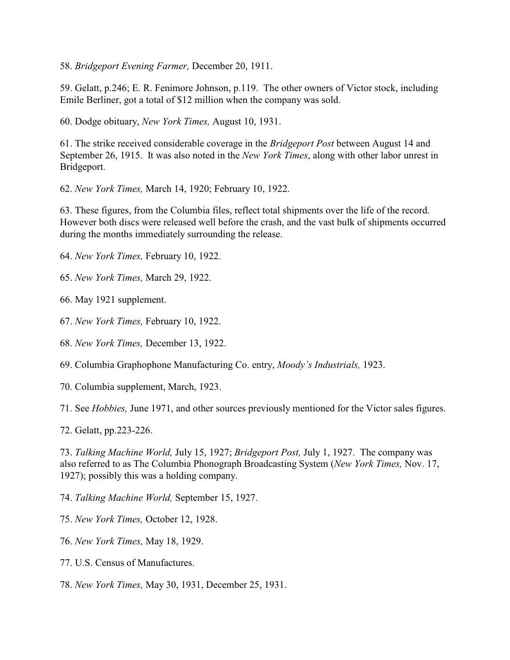58. *Bridgeport Evening Farmer,* December 20, 1911.

59. Gelatt, p.246; E. R. Fenimore Johnson, p.119. The other owners of Victor stock, including Emile Berliner, got a total of \$12 million when the company was sold.

60. Dodge obituary, *New York Times,* August 10, 1931.

61. The strike received considerable coverage in the *Bridgeport Post* between August 14 and September 26, 1915. It was also noted in the *New York Times*, along with other labor unrest in Bridgeport.

62. *New York Times,* March 14, 1920; February 10, 1922.

63. These figures, from the Columbia files, reflect total shipments over the life of the record. However both discs were released well before the crash, and the vast bulk of shipments occurred during the months immediately surrounding the release.

64. *New York Times,* February 10, 1922.

65. *New York Times,* March 29, 1922.

66. May 1921 supplement.

67. *New York Times,* February 10, 1922.

68. *New York Times,* December 13, 1922.

69. Columbia Graphophone Manufacturing Co. entry, *Moody's Industrials,* 1923.

70. Columbia supplement, March, 1923.

71. See *Hobbies,* June 1971, and other sources previously mentioned for the Victor sales figures.

72. Gelatt, pp.223-226.

73. *Talking Machine World,* July 15, 1927; *Bridgeport Post,* July 1, 1927. The company was also referred to as The Columbia Phonograph Broadcasting System (*New York Times,* Nov. 17, 1927); possibly this was a holding company.

74. *Talking Machine World,* September 15, 1927.

75. *New York Times,* October 12, 1928.

76. *New York Times,* May 18, 1929.

77. U.S. Census of Manufactures.

78. *New York Times,* May 30, 1931, December 25, 1931.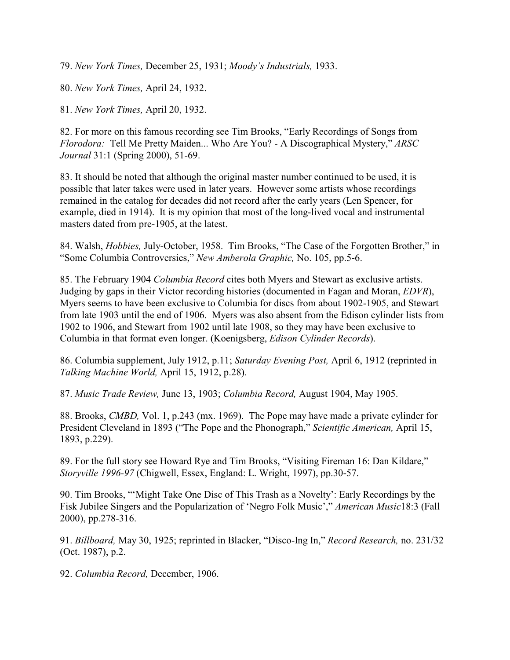79. *New York Times,* December 25, 1931; *Moody's Industrials,* 1933.

80. *New York Times,* April 24, 1932.

81. *New York Times,* April 20, 1932.

82. For more on this famous recording see Tim Brooks, "Early Recordings of Songs from *Florodora:* Tell Me Pretty Maiden... Who Are You? - A Discographical Mystery," *ARSC Journal* 31:1 (Spring 2000), 51-69.

83. It should be noted that although the original master number continued to be used, it is possible that later takes were used in later years. However some artists whose recordings remained in the catalog for decades did not record after the early years (Len Spencer, for example, died in 1914). It is my opinion that most of the long-lived vocal and instrumental masters dated from pre-1905, at the latest.

84. Walsh, *Hobbies,* July-October, 1958. Tim Brooks, "The Case of the Forgotten Brother," in "Some Columbia Controversies," *New Amberola Graphic,* No. 105, pp.5-6.

85. The February 1904 *Columbia Record* cites both Myers and Stewart as exclusive artists. Judging by gaps in their Victor recording histories (documented in Fagan and Moran, *EDVR*), Myers seems to have been exclusive to Columbia for discs from about 1902-1905, and Stewart from late 1903 until the end of 1906. Myers was also absent from the Edison cylinder lists from 1902 to 1906, and Stewart from 1902 until late 1908, so they may have been exclusive to Columbia in that format even longer. (Koenigsberg, *Edison Cylinder Records*).

86. Columbia supplement, July 1912, p.11; *Saturday Evening Post,* April 6, 1912 (reprinted in *Talking Machine World,* April 15, 1912, p.28).

87. *Music Trade Review,* June 13, 1903; *Columbia Record,* August 1904, May 1905.

88. Brooks, *CMBD,* Vol. 1, p.243 (mx. 1969). The Pope may have made a private cylinder for President Cleveland in 1893 ("The Pope and the Phonograph," *Scientific American,* April 15, 1893, p.229).

89. For the full story see Howard Rye and Tim Brooks, "Visiting Fireman 16: Dan Kildare," *Storyville 1996-97* (Chigwell, Essex, England: L. Wright, 1997), pp.30-57.

90. Tim Brooks, "'Might Take One Disc of This Trash as a Novelty': Early Recordings by the Fisk Jubilee Singers and the Popularization of 'Negro Folk Music'," *American Music*18:3 (Fall 2000), pp.278-316.

91. *Billboard,* May 30, 1925; reprinted in Blacker, "Disco-Ing In," *Record Research,* no. 231/32 (Oct. 1987), p.2.

92. *Columbia Record,* December, 1906.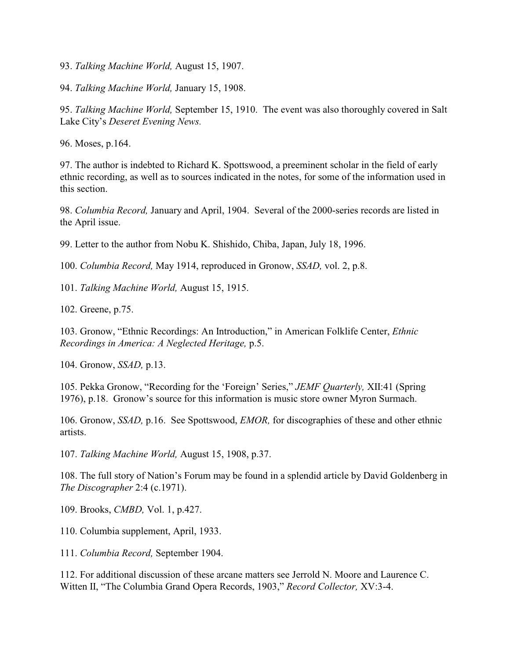93. *Talking Machine World,* August 15, 1907.

94. *Talking Machine World,* January 15, 1908.

95. *Talking Machine World,* September 15, 1910. The event was also thoroughly covered in Salt Lake City's *Deseret Evening News.*

96. Moses, p.164.

97. The author is indebted to Richard K. Spottswood, a preeminent scholar in the field of early ethnic recording, as well as to sources indicated in the notes, for some of the information used in this section.

98. *Columbia Record,* January and April, 1904. Several of the 2000-series records are listed in the April issue.

99. Letter to the author from Nobu K. Shishido, Chiba, Japan, July 18, 1996.

100. *Columbia Record,* May 1914, reproduced in Gronow, *SSAD,* vol. 2, p.8.

101. *Talking Machine World,* August 15, 1915.

102. Greene, p.75.

103. Gronow, "Ethnic Recordings: An Introduction," in American Folklife Center, *Ethnic Recordings in America: A Neglected Heritage,* p.5.

104. Gronow, *SSAD,* p.13.

105. Pekka Gronow, "Recording for the 'Foreign' Series," *JEMF Quarterly,* XII:41 (Spring 1976), p.18. Gronow's source for this information is music store owner Myron Surmach.

106. Gronow, *SSAD,* p.16. See Spottswood, *EMOR,* for discographies of these and other ethnic artists.

107. *Talking Machine World,* August 15, 1908, p.37.

108. The full story of Nation's Forum may be found in a splendid article by David Goldenberg in *The Discographer* 2:4 (c.1971).

109. Brooks, *CMBD,* Vol. 1, p.427.

110. Columbia supplement, April, 1933.

111. *Columbia Record,* September 1904.

112. For additional discussion of these arcane matters see Jerrold N. Moore and Laurence C. Witten II, "The Columbia Grand Opera Records, 1903," *Record Collector,* XV:3-4.